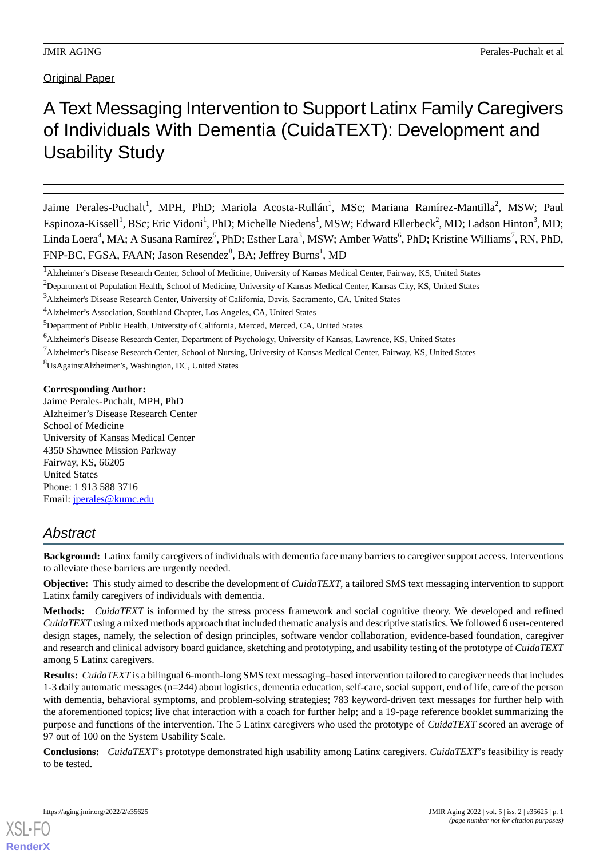## **Original Paper**

# A Text Messaging Intervention to Support Latinx Family Caregivers of Individuals With Dementia (CuidaTEXT): Development and Usability Study

Jaime Perales-Puchalt<sup>1</sup>, MPH, PhD; Mariola Acosta-Rullán<sup>1</sup>, MSc; Mariana Ramírez-Mantilla<sup>2</sup>, MSW; Paul Espinoza-Kissell<sup>1</sup>, BSc; Eric Vidoni<sup>1</sup>, PhD; Michelle Niedens<sup>1</sup>, MSW; Edward Ellerbeck<sup>2</sup>, MD; Ladson Hinton<sup>3</sup>, MD; Linda Loera<sup>4</sup>, MA; A Susana Ramírez<sup>5</sup>, PhD; Esther Lara<sup>3</sup>, MSW; Amber Watts<sup>6</sup>, PhD; Kristine Williams<sup>7</sup>, RN, PhD, FNP-BC, FGSA, FAAN; Jason Resendez<sup>8</sup>, BA; Jeffrey Burns<sup>1</sup>, MD

<sup>7</sup>Alzheimer's Disease Research Center, School of Nursing, University of Kansas Medical Center, Fairway, KS, United States

<sup>8</sup>UsAgainstAlzheimer's, Washington, DC, United States

### **Corresponding Author:**

Jaime Perales-Puchalt, MPH, PhD Alzheimer's Disease Research Center School of Medicine University of Kansas Medical Center 4350 Shawnee Mission Parkway Fairway, KS, 66205 United States Phone: 1 913 588 3716 Email: [jperales@kumc.edu](mailto:jperales@kumc.edu)

## *Abstract*

**Background:** Latinx family caregivers of individuals with dementia face many barriers to caregiver support access. Interventions to alleviate these barriers are urgently needed.

**Objective:** This study aimed to describe the development of *CuidaTEXT*, a tailored SMS text messaging intervention to support Latinx family caregivers of individuals with dementia.

**Methods:** *CuidaTEXT* is informed by the stress process framework and social cognitive theory. We developed and refined *CuidaTEXT*using a mixed methods approach that included thematic analysis and descriptive statistics. We followed 6 user-centered design stages, namely, the selection of design principles, software vendor collaboration, evidence-based foundation, caregiver and research and clinical advisory board guidance, sketching and prototyping, and usability testing of the prototype of *CuidaTEXT* among 5 Latinx caregivers.

**Results:** *CuidaTEXT*is a bilingual 6-month-long SMS text messaging–based intervention tailored to caregiver needs that includes 1-3 daily automatic messages (n=244) about logistics, dementia education, self-care, social support, end of life, care of the person with dementia, behavioral symptoms, and problem-solving strategies; 783 keyword-driven text messages for further help with the aforementioned topics; live chat interaction with a coach for further help; and a 19-page reference booklet summarizing the purpose and functions of the intervention. The 5 Latinx caregivers who used the prototype of *CuidaTEXT* scored an average of 97 out of 100 on the System Usability Scale.

**Conclusions:** *CuidaTEXT*'s prototype demonstrated high usability among Latinx caregivers. *CuidaTEXT*'s feasibility is ready to be tested.

<sup>&</sup>lt;sup>1</sup>Alzheimer's Disease Research Center, School of Medicine, University of Kansas Medical Center, Fairway, KS, United States

<sup>&</sup>lt;sup>2</sup>Department of Population Health, School of Medicine, University of Kansas Medical Center, Kansas City, KS, United States

<sup>3</sup>Alzheimer's Disease Research Center, University of California, Davis, Sacramento, CA, United States

<sup>4</sup>Alzheimer's Association, Southland Chapter, Los Angeles, CA, United States

<sup>&</sup>lt;sup>5</sup>Department of Public Health, University of California, Merced, Merced, CA, United States

<sup>6</sup>Alzheimer's Disease Research Center, Department of Psychology, University of Kansas, Lawrence, KS, United States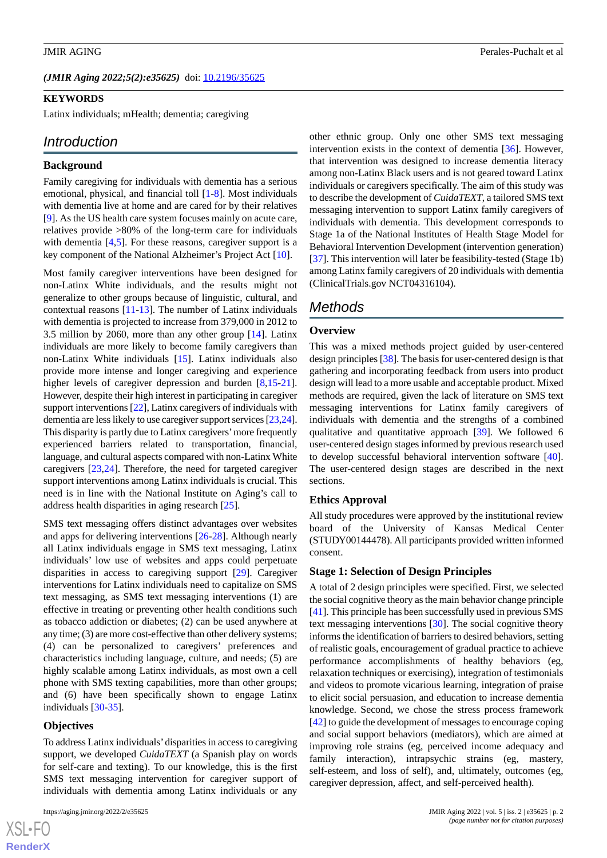### *(JMIR Aging 2022;5(2):e35625)* doi: [10.2196/35625](http://dx.doi.org/10.2196/35625)

### **KEYWORDS**

Latinx individuals; mHealth; dementia; caregiving

### *Introduction*

### **Background**

Family caregiving for individuals with dementia has a serious emotional, physical, and financial toll [[1-](#page-10-0)[8](#page-10-1)]. Most individuals with dementia live at home and are cared for by their relatives [[9\]](#page-10-2). As the US health care system focuses mainly on acute care, relatives provide >80% of the long-term care for individuals with dementia [[4,](#page-10-3)[5](#page-10-4)]. For these reasons, caregiver support is a key component of the National Alzheimer's Project Act [\[10](#page-11-0)].

Most family caregiver interventions have been designed for non-Latinx White individuals, and the results might not generalize to other groups because of linguistic, cultural, and contextual reasons [\[11](#page-11-1)[-13](#page-11-2)]. The number of Latinx individuals with dementia is projected to increase from 379,000 in 2012 to 3.5 million by 2060, more than any other group [\[14](#page-11-3)]. Latinx individuals are more likely to become family caregivers than non-Latinx White individuals [\[15](#page-11-4)]. Latinx individuals also provide more intense and longer caregiving and experience higher levels of caregiver depression and burden [[8](#page-10-1)[,15](#page-11-4)-[21\]](#page-11-5). However, despite their high interest in participating in caregiver support interventions [[22\]](#page-11-6), Latinx caregivers of individuals with dementia are less likely to use caregiver support services [\[23](#page-11-7)[,24\]](#page-11-8). This disparity is partly due to Latinx caregivers'more frequently experienced barriers related to transportation, financial, language, and cultural aspects compared with non-Latinx White caregivers [[23](#page-11-7)[,24](#page-11-8)]. Therefore, the need for targeted caregiver support interventions among Latinx individuals is crucial. This need is in line with the National Institute on Aging's call to address health disparities in aging research [[25\]](#page-11-9).

SMS text messaging offers distinct advantages over websites and apps for delivering interventions [[26-](#page-11-10)[28](#page-11-11)]. Although nearly all Latinx individuals engage in SMS text messaging, Latinx individuals' low use of websites and apps could perpetuate disparities in access to caregiving support [[29\]](#page-11-12). Caregiver interventions for Latinx individuals need to capitalize on SMS text messaging, as SMS text messaging interventions (1) are effective in treating or preventing other health conditions such as tobacco addiction or diabetes; (2) can be used anywhere at any time; (3) are more cost-effective than other delivery systems; (4) can be personalized to caregivers' preferences and characteristics including language, culture, and needs; (5) are highly scalable among Latinx individuals, as most own a cell phone with SMS texting capabilities, more than other groups; and (6) have been specifically shown to engage Latinx individuals [[30-](#page-11-13)[35\]](#page-12-0).

### **Objectives**

To address Latinx individuals'disparities in access to caregiving support, we developed *CuidaTEXT* (a Spanish play on words for self-care and texting). To our knowledge, this is the first SMS text messaging intervention for caregiver support of individuals with dementia among Latinx individuals or any

other ethnic group. Only one other SMS text messaging intervention exists in the context of dementia [[36\]](#page-12-1). However, that intervention was designed to increase dementia literacy among non-Latinx Black users and is not geared toward Latinx individuals or caregivers specifically. The aim of this study was to describe the development of *CuidaTEXT*, a tailored SMS text messaging intervention to support Latinx family caregivers of individuals with dementia. This development corresponds to Stage 1a of the National Institutes of Health Stage Model for Behavioral Intervention Development (intervention generation) [[37\]](#page-12-2). This intervention will later be feasibility-tested (Stage 1b) among Latinx family caregivers of 20 individuals with dementia (ClinicalTrials.gov NCT04316104).

## *Methods*

### **Overview**

This was a mixed methods project guided by user-centered design principles [[38\]](#page-12-3). The basis for user-centered design is that gathering and incorporating feedback from users into product design will lead to a more usable and acceptable product. Mixed methods are required, given the lack of literature on SMS text messaging interventions for Latinx family caregivers of individuals with dementia and the strengths of a combined qualitative and quantitative approach [[39\]](#page-12-4). We followed 6 user-centered design stages informed by previous research used to develop successful behavioral intervention software [[40\]](#page-12-5). The user-centered design stages are described in the next sections.

### **Ethics Approval**

All study procedures were approved by the institutional review board of the University of Kansas Medical Center (STUDY00144478). All participants provided written informed consent.

### **Stage 1: Selection of Design Principles**

A total of 2 design principles were specified. First, we selected the social cognitive theory as the main behavior change principle [[41\]](#page-12-6). This principle has been successfully used in previous SMS text messaging interventions [\[30](#page-11-13)]. The social cognitive theory informs the identification of barriers to desired behaviors, setting of realistic goals, encouragement of gradual practice to achieve performance accomplishments of healthy behaviors (eg, relaxation techniques or exercising), integration of testimonials and videos to promote vicarious learning, integration of praise to elicit social persuasion, and education to increase dementia knowledge. Second, we chose the stress process framework [[42\]](#page-12-7) to guide the development of messages to encourage coping and social support behaviors (mediators), which are aimed at improving role strains (eg, perceived income adequacy and family interaction), intrapsychic strains (eg, mastery, self-esteem, and loss of self), and, ultimately, outcomes (eg, caregiver depression, affect, and self-perceived health).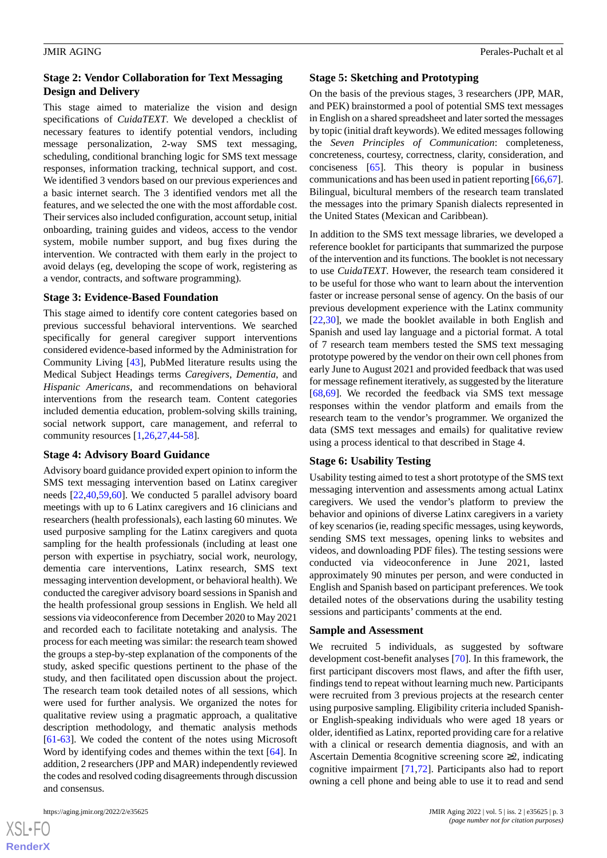### **Stage 2: Vendor Collaboration for Text Messaging Design and Delivery**

This stage aimed to materialize the vision and design specifications of *CuidaTEXT*. We developed a checklist of necessary features to identify potential vendors, including message personalization, 2-way SMS text messaging, scheduling, conditional branching logic for SMS text message responses, information tracking, technical support, and cost. We identified 3 vendors based on our previous experiences and a basic internet search. The 3 identified vendors met all the features, and we selected the one with the most affordable cost. Their services also included configuration, account setup, initial onboarding, training guides and videos, access to the vendor system, mobile number support, and bug fixes during the intervention. We contracted with them early in the project to avoid delays (eg, developing the scope of work, registering as a vendor, contracts, and software programming).

### **Stage 3: Evidence-Based Foundation**

This stage aimed to identify core content categories based on previous successful behavioral interventions. We searched specifically for general caregiver support interventions considered evidence-based informed by the Administration for Community Living [\[43](#page-12-8)], PubMed literature results using the Medical Subject Headings terms *Caregivers*, *Dementia*, and *Hispanic Americans*, and recommendations on behavioral interventions from the research team. Content categories included dementia education, problem-solving skills training, social network support, care management, and referral to community resources [\[1](#page-10-0),[26,](#page-11-10)[27](#page-11-14),[44-](#page-12-9)[58](#page-13-0)].

### **Stage 4: Advisory Board Guidance**

Advisory board guidance provided expert opinion to inform the SMS text messaging intervention based on Latinx caregiver needs [[22](#page-11-6)[,40](#page-12-5),[59](#page-13-1)[,60](#page-13-2)]. We conducted 5 parallel advisory board meetings with up to 6 Latinx caregivers and 16 clinicians and researchers (health professionals), each lasting 60 minutes. We used purposive sampling for the Latinx caregivers and quota sampling for the health professionals (including at least one person with expertise in psychiatry, social work, neurology, dementia care interventions, Latinx research, SMS text messaging intervention development, or behavioral health). We conducted the caregiver advisory board sessions in Spanish and the health professional group sessions in English. We held all sessions via videoconference from December 2020 to May 2021 and recorded each to facilitate notetaking and analysis. The process for each meeting was similar: the research team showed the groups a step-by-step explanation of the components of the study, asked specific questions pertinent to the phase of the study, and then facilitated open discussion about the project. The research team took detailed notes of all sessions, which were used for further analysis. We organized the notes for qualitative review using a pragmatic approach, a qualitative description methodology, and thematic analysis methods [[61](#page-13-3)[-63](#page-13-4)]. We coded the content of the notes using Microsoft Word by identifying codes and themes within the text [[64\]](#page-13-5). In addition, 2 researchers (JPP and MAR) independently reviewed the codes and resolved coding disagreements through discussion and consensus.

 $XS$ -FO **[RenderX](http://www.renderx.com/)**

### **Stage 5: Sketching and Prototyping**

On the basis of the previous stages, 3 researchers (JPP, MAR, and PEK) brainstormed a pool of potential SMS text messages in English on a shared spreadsheet and later sorted the messages by topic (initial draft keywords). We edited messages following the *Seven Principles of Communication*: completeness, concreteness, courtesy, correctness, clarity, consideration, and conciseness [[65\]](#page-13-6). This theory is popular in business communications and has been used in patient reporting [\[66](#page-13-7),[67\]](#page-13-8). Bilingual, bicultural members of the research team translated the messages into the primary Spanish dialects represented in the United States (Mexican and Caribbean).

In addition to the SMS text message libraries, we developed a reference booklet for participants that summarized the purpose of the intervention and its functions. The booklet is not necessary to use *CuidaTEXT*. However, the research team considered it to be useful for those who want to learn about the intervention faster or increase personal sense of agency. On the basis of our previous development experience with the Latinx community [[22,](#page-11-6)[30\]](#page-11-13), we made the booklet available in both English and Spanish and used lay language and a pictorial format. A total of 7 research team members tested the SMS text messaging prototype powered by the vendor on their own cell phones from early June to August 2021 and provided feedback that was used for message refinement iteratively, as suggested by the literature [[68,](#page-13-9)[69\]](#page-13-10). We recorded the feedback via SMS text message responses within the vendor platform and emails from the research team to the vendor's programmer. We organized the data (SMS text messages and emails) for qualitative review using a process identical to that described in Stage 4.

### **Stage 6: Usability Testing**

Usability testing aimed to test a short prototype of the SMS text messaging intervention and assessments among actual Latinx caregivers. We used the vendor's platform to preview the behavior and opinions of diverse Latinx caregivers in a variety of key scenarios (ie, reading specific messages, using keywords, sending SMS text messages, opening links to websites and videos, and downloading PDF files). The testing sessions were conducted via videoconference in June 2021, lasted approximately 90 minutes per person, and were conducted in English and Spanish based on participant preferences. We took detailed notes of the observations during the usability testing sessions and participants' comments at the end.

### **Sample and Assessment**

We recruited 5 individuals, as suggested by software development cost-benefit analyses [\[70](#page-13-11)]. In this framework, the first participant discovers most flaws, and after the fifth user, findings tend to repeat without learning much new. Participants were recruited from 3 previous projects at the research center using purposive sampling. Eligibility criteria included Spanishor English-speaking individuals who were aged 18 years or older, identified as Latinx, reported providing care for a relative with a clinical or research dementia diagnosis, and with an Ascertain Dementia 8cognitive screening score ≥2, indicating cognitive impairment [\[71](#page-13-12),[72\]](#page-13-13). Participants also had to report owning a cell phone and being able to use it to read and send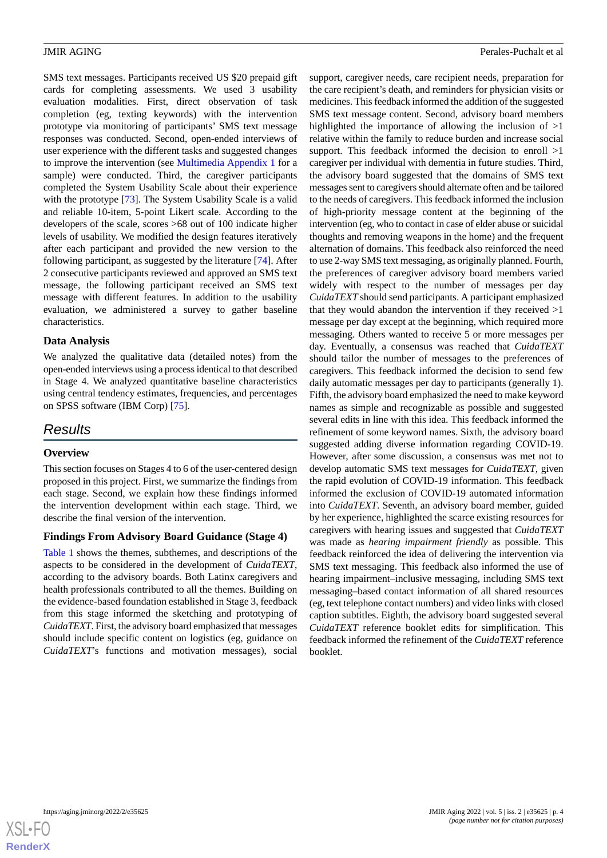SMS text messages. Participants received US \$20 prepaid gift cards for completing assessments. We used 3 usability evaluation modalities. First, direct observation of task completion (eg, texting keywords) with the intervention prototype via monitoring of participants' SMS text message responses was conducted. Second, open-ended interviews of user experience with the different tasks and suggested changes to improve the intervention (see [Multimedia Appendix 1](#page-10-5) for a sample) were conducted. Third, the caregiver participants completed the System Usability Scale about their experience with the prototype [\[73](#page-13-14)]. The System Usability Scale is a valid and reliable 10-item, 5-point Likert scale. According to the developers of the scale, scores >68 out of 100 indicate higher levels of usability. We modified the design features iteratively after each participant and provided the new version to the following participant, as suggested by the literature [\[74](#page-13-15)]. After 2 consecutive participants reviewed and approved an SMS text message, the following participant received an SMS text message with different features. In addition to the usability evaluation, we administered a survey to gather baseline characteristics.

### **Data Analysis**

We analyzed the qualitative data (detailed notes) from the open-ended interviews using a process identical to that described in Stage 4. We analyzed quantitative baseline characteristics using central tendency estimates, frequencies, and percentages on SPSS software (IBM Corp) [\[75](#page-13-16)].

## *Results*

### **Overview**

This section focuses on Stages 4 to 6 of the user-centered design proposed in this project. First, we summarize the findings from each stage. Second, we explain how these findings informed the intervention development within each stage. Third, we describe the final version of the intervention.

### **Findings From Advisory Board Guidance (Stage 4)**

[Table 1](#page-4-0) shows the themes, subthemes, and descriptions of the aspects to be considered in the development of *CuidaTEXT*, according to the advisory boards. Both Latinx caregivers and health professionals contributed to all the themes. Building on the evidence-based foundation established in Stage 3, feedback from this stage informed the sketching and prototyping of *CuidaTEXT*. First, the advisory board emphasized that messages should include specific content on logistics (eg, guidance on *CuidaTEXT*'s functions and motivation messages), social

support, caregiver needs, care recipient needs, preparation for the care recipient's death, and reminders for physician visits or medicines. This feedback informed the addition of the suggested SMS text message content. Second, advisory board members highlighted the importance of allowing the inclusion of >1 relative within the family to reduce burden and increase social support. This feedback informed the decision to enroll  $>1$ caregiver per individual with dementia in future studies. Third, the advisory board suggested that the domains of SMS text messages sent to caregivers should alternate often and be tailored to the needs of caregivers. This feedback informed the inclusion of high-priority message content at the beginning of the intervention (eg, who to contact in case of elder abuse or suicidal thoughts and removing weapons in the home) and the frequent alternation of domains. This feedback also reinforced the need to use 2-way SMS text messaging, as originally planned. Fourth, the preferences of caregiver advisory board members varied widely with respect to the number of messages per day *CuidaTEXT*should send participants. A participant emphasized that they would abandon the intervention if they received >1 message per day except at the beginning, which required more messaging. Others wanted to receive 5 or more messages per day. Eventually, a consensus was reached that *CuidaTEXT* should tailor the number of messages to the preferences of caregivers. This feedback informed the decision to send few daily automatic messages per day to participants (generally 1). Fifth, the advisory board emphasized the need to make keyword names as simple and recognizable as possible and suggested several edits in line with this idea. This feedback informed the refinement of some keyword names. Sixth, the advisory board suggested adding diverse information regarding COVID-19. However, after some discussion, a consensus was met not to develop automatic SMS text messages for *CuidaTEXT*, given the rapid evolution of COVID-19 information. This feedback informed the exclusion of COVID-19 automated information into *CuidaTEXT*. Seventh, an advisory board member, guided by her experience, highlighted the scarce existing resources for caregivers with hearing issues and suggested that *CuidaTEXT* was made as *hearing impairment friendly* as possible. This feedback reinforced the idea of delivering the intervention via SMS text messaging. This feedback also informed the use of hearing impairment–inclusive messaging, including SMS text messaging–based contact information of all shared resources (eg, text telephone contact numbers) and video links with closed caption subtitles. Eighth, the advisory board suggested several *CuidaTEXT* reference booklet edits for simplification. This feedback informed the refinement of the *CuidaTEXT* reference booklet.

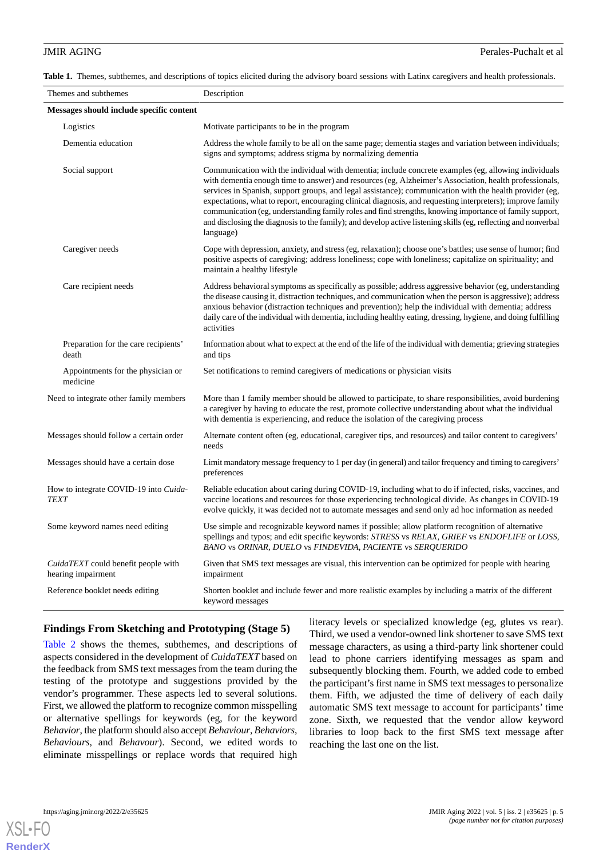<span id="page-4-0"></span>**Table 1.** Themes, subthemes, and descriptions of topics elicited during the advisory board sessions with Latinx caregivers and health professionals.

| Themes and subthemes                                      | Description                                                                                                                                                                                                                                                                                                                                                                                                                                                                                                                                                                                                                                                                       |  |
|-----------------------------------------------------------|-----------------------------------------------------------------------------------------------------------------------------------------------------------------------------------------------------------------------------------------------------------------------------------------------------------------------------------------------------------------------------------------------------------------------------------------------------------------------------------------------------------------------------------------------------------------------------------------------------------------------------------------------------------------------------------|--|
| Messages should include specific content                  |                                                                                                                                                                                                                                                                                                                                                                                                                                                                                                                                                                                                                                                                                   |  |
| Logistics                                                 | Motivate participants to be in the program                                                                                                                                                                                                                                                                                                                                                                                                                                                                                                                                                                                                                                        |  |
| Dementia education                                        | Address the whole family to be all on the same page; dementia stages and variation between individuals;<br>signs and symptoms; address stigma by normalizing dementia                                                                                                                                                                                                                                                                                                                                                                                                                                                                                                             |  |
| Social support                                            | Communication with the individual with dementia; include concrete examples (eg, allowing individuals<br>with dementia enough time to answer) and resources (eg, Alzheimer's Association, health professionals,<br>services in Spanish, support groups, and legal assistance); communication with the health provider (eg,<br>expectations, what to report, encouraging clinical diagnosis, and requesting interpreters); improve family<br>communication (eg, understanding family roles and find strengths, knowing importance of family support,<br>and disclosing the diagnosis to the family); and develop active listening skills (eg, reflecting and nonverbal<br>language) |  |
| Caregiver needs                                           | Cope with depression, anxiety, and stress (eg, relaxation); choose one's battles; use sense of humor; find<br>positive aspects of caregiving; address loneliness; cope with loneliness; capitalize on spirituality; and<br>maintain a healthy lifestyle                                                                                                                                                                                                                                                                                                                                                                                                                           |  |
| Care recipient needs                                      | Address behavioral symptoms as specifically as possible; address aggressive behavior (eg, understanding<br>the disease causing it, distraction techniques, and communication when the person is aggressive); address<br>anxious behavior (distraction techniques and prevention); help the individual with dementia; address<br>daily care of the individual with dementia, including healthy eating, dressing, hygiene, and doing fulfilling<br>activities                                                                                                                                                                                                                       |  |
| Preparation for the care recipients'<br>death             | Information about what to expect at the end of the life of the individual with dementia; grieving strategies<br>and tips                                                                                                                                                                                                                                                                                                                                                                                                                                                                                                                                                          |  |
| Appointments for the physician or<br>medicine             | Set notifications to remind caregivers of medications or physician visits                                                                                                                                                                                                                                                                                                                                                                                                                                                                                                                                                                                                         |  |
| Need to integrate other family members                    | More than 1 family member should be allowed to participate, to share responsibilities, avoid burdening<br>a caregiver by having to educate the rest, promote collective understanding about what the individual<br>with dementia is experiencing, and reduce the isolation of the caregiving process                                                                                                                                                                                                                                                                                                                                                                              |  |
| Messages should follow a certain order                    | Alternate content often (eg, educational, caregiver tips, and resources) and tailor content to caregivers'<br>needs                                                                                                                                                                                                                                                                                                                                                                                                                                                                                                                                                               |  |
| Messages should have a certain dose                       | Limit mandatory message frequency to 1 per day (in general) and tailor frequency and timing to caregivers'<br>preferences                                                                                                                                                                                                                                                                                                                                                                                                                                                                                                                                                         |  |
| How to integrate COVID-19 into Cuida-<br><b>TEXT</b>      | Reliable education about caring during COVID-19, including what to do if infected, risks, vaccines, and<br>vaccine locations and resources for those experiencing technological divide. As changes in COVID-19<br>evolve quickly, it was decided not to automate messages and send only ad hoc information as needed                                                                                                                                                                                                                                                                                                                                                              |  |
| Some keyword names need editing                           | Use simple and recognizable keyword names if possible; allow platform recognition of alternative<br>spellings and typos; and edit specific keywords: STRESS vs RELAX, GRIEF vs ENDOFLIFE or LOSS,<br>BANO vs ORINAR, DUELO vs FINDEVIDA, PACIENTE vs SERQUERIDO                                                                                                                                                                                                                                                                                                                                                                                                                   |  |
| CuidaTEXT could benefit people with<br>hearing impairment | Given that SMS text messages are visual, this intervention can be optimized for people with hearing<br>impairment                                                                                                                                                                                                                                                                                                                                                                                                                                                                                                                                                                 |  |
| Reference booklet needs editing                           | Shorten booklet and include fewer and more realistic examples by including a matrix of the different<br>keyword messages                                                                                                                                                                                                                                                                                                                                                                                                                                                                                                                                                          |  |

## **Findings From Sketching and Prototyping (Stage 5)**

[Table 2](#page-5-0) shows the themes, subthemes, and descriptions of aspects considered in the development of *CuidaTEXT* based on the feedback from SMS text messages from the team during the testing of the prototype and suggestions provided by the vendor's programmer. These aspects led to several solutions. First, we allowed the platform to recognize common misspelling or alternative spellings for keywords (eg, for the keyword *Behavior*, the platform should also accept *Behaviour*, *Behaviors*, *Behaviours*, and *Behavour*). Second, we edited words to eliminate misspellings or replace words that required high

literacy levels or specialized knowledge (eg, glutes vs rear). Third, we used a vendor-owned link shortener to save SMS text message characters, as using a third-party link shortener could lead to phone carriers identifying messages as spam and subsequently blocking them. Fourth, we added code to embed the participant's first name in SMS text messages to personalize them. Fifth, we adjusted the time of delivery of each daily automatic SMS text message to account for participants' time zone. Sixth, we requested that the vendor allow keyword libraries to loop back to the first SMS text message after reaching the last one on the list.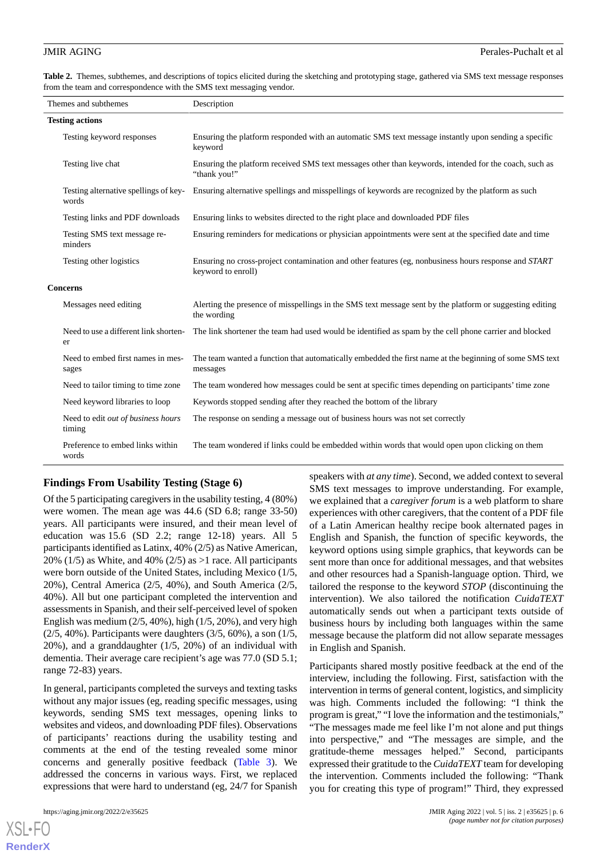<span id="page-5-0"></span>**Table 2.** Themes, subthemes, and descriptions of topics elicited during the sketching and prototyping stage, gathered via SMS text message responses from the team and correspondence with the SMS text messaging vendor.

| Themes and subthemes |                                                | Description                                                                                                                       |  |  |  |
|----------------------|------------------------------------------------|-----------------------------------------------------------------------------------------------------------------------------------|--|--|--|
|                      | <b>Testing actions</b>                         |                                                                                                                                   |  |  |  |
|                      | Testing keyword responses                      | Ensuring the platform responded with an automatic SMS text message instantly upon sending a specific<br>keyword                   |  |  |  |
|                      | Testing live chat                              | Ensuring the platform received SMS text messages other than keywords, intended for the coach, such as<br>"thank you!"             |  |  |  |
|                      | Testing alternative spellings of key-<br>words | Ensuring alternative spellings and misspellings of keywords are recognized by the platform as such                                |  |  |  |
|                      | Testing links and PDF downloads                | Ensuring links to websites directed to the right place and downloaded PDF files                                                   |  |  |  |
|                      | Testing SMS text message re-<br>minders        | Ensuring reminders for medications or physician appointments were sent at the specified date and time                             |  |  |  |
|                      | Testing other logistics                        | Ensuring no cross-project contamination and other features (eg, nonbusiness hours response and <i>START</i><br>keyword to enroll) |  |  |  |
| <b>Concerns</b>      |                                                |                                                                                                                                   |  |  |  |
|                      | Messages need editing                          | Alerting the presence of misspellings in the SMS text message sent by the platform or suggesting editing<br>the wording           |  |  |  |
|                      | Need to use a different link shorten-<br>er    | The link shortener the team had used would be identified as spam by the cell phone carrier and blocked                            |  |  |  |
|                      | Need to embed first names in mes-<br>sages     | The team wanted a function that automatically embedded the first name at the beginning of some SMS text<br>messages               |  |  |  |
|                      | Need to tailor timing to time zone             | The team wondered how messages could be sent at specific times depending on participants' time zone                               |  |  |  |
|                      | Need keyword libraries to loop                 | Keywords stopped sending after they reached the bottom of the library                                                             |  |  |  |
|                      | Need to edit out of business hours<br>timing   | The response on sending a message out of business hours was not set correctly                                                     |  |  |  |
|                      | Preference to embed links within<br>words      | The team wondered if links could be embedded within words that would open upon clicking on them                                   |  |  |  |

## **Findings From Usability Testing (Stage 6)**

Of the 5 participating caregivers in the usability testing, 4 (80%) were women. The mean age was 44.6 (SD 6.8; range 33-50) years. All participants were insured, and their mean level of education was 15.6 (SD 2.2; range 12-18) years. All 5 participants identified as Latinx, 40% (2/5) as Native American, 20% (1/5) as White, and 40% (2/5) as  $>1$  race. All participants were born outside of the United States, including Mexico (1/5, 20%), Central America (2/5, 40%), and South America (2/5, 40%). All but one participant completed the intervention and assessments in Spanish, and their self-perceived level of spoken English was medium  $(2/5, 40\%)$ , high  $(1/5, 20\%)$ , and very high (2/5, 40%). Participants were daughters (3/5, 60%), a son (1/5, 20%), and a granddaughter (1/5, 20%) of an individual with dementia. Their average care recipient's age was 77.0 (SD 5.1; range 72-83) years.

In general, participants completed the surveys and texting tasks without any major issues (eg, reading specific messages, using keywords, sending SMS text messages, opening links to websites and videos, and downloading PDF files). Observations of participants' reactions during the usability testing and comments at the end of the testing revealed some minor concerns and generally positive feedback ([Table 3](#page-6-0)). We addressed the concerns in various ways. First, we replaced expressions that were hard to understand (eg, 24/7 for Spanish

[XSL](http://www.w3.org/Style/XSL)•FO **[RenderX](http://www.renderx.com/)**

speakers with *at any time*). Second, we added context to several SMS text messages to improve understanding. For example, we explained that a *caregiver forum* is a web platform to share experiences with other caregivers, that the content of a PDF file of a Latin American healthy recipe book alternated pages in English and Spanish, the function of specific keywords, the keyword options using simple graphics, that keywords can be sent more than once for additional messages, and that websites and other resources had a Spanish-language option. Third, we tailored the response to the keyword *STOP* (discontinuing the intervention). We also tailored the notification *CuidaTEXT* automatically sends out when a participant texts outside of business hours by including both languages within the same message because the platform did not allow separate messages in English and Spanish.

Participants shared mostly positive feedback at the end of the interview, including the following. First, satisfaction with the intervention in terms of general content, logistics, and simplicity was high. Comments included the following: "I think the program is great," "I love the information and the testimonials," "The messages made me feel like I'm not alone and put things into perspective," and "The messages are simple, and the gratitude-theme messages helped." Second, participants expressed their gratitude to the *CuidaTEXT* team for developing the intervention. Comments included the following: "Thank you for creating this type of program!" Third, they expressed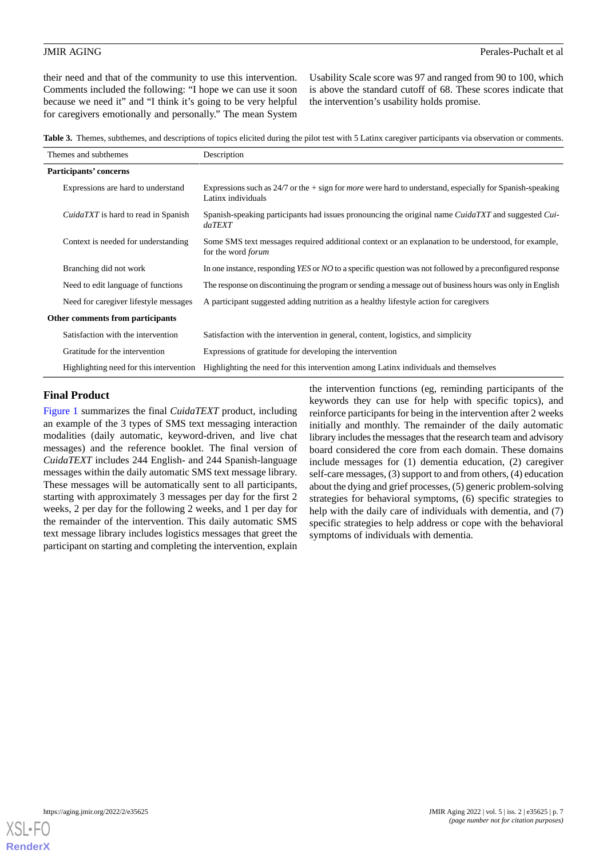their need and that of the community to use this intervention. Comments included the following: "I hope we can use it soon because we need it" and "I think it's going to be very helpful for caregivers emotionally and personally." The mean System

Usability Scale score was 97 and ranged from 90 to 100, which is above the standard cutoff of 68. These scores indicate that the intervention's usability holds promise.

<span id="page-6-0"></span>**Table 3.** Themes, subthemes, and descriptions of topics elicited during the pilot test with 5 Latinx caregiver participants via observation or comments.

| Themes and subthemes                       | Description                                                                                                                               |
|--------------------------------------------|-------------------------------------------------------------------------------------------------------------------------------------------|
| Participants' concerns                     |                                                                                                                                           |
| Expressions are hard to understand         | Expressions such as $24/7$ or the $+$ sign for <i>more</i> were hard to understand, especially for Spanish-speaking<br>Latinx individuals |
| <i>CuidaTXT</i> is hard to read in Spanish | Spanish-speaking participants had issues pronouncing the original name CuidaTXT and suggested Cui-<br>daTEXT                              |
| Context is needed for understanding        | Some SMS text messages required additional context or an explanation to be understood, for example,<br>for the word <i>forum</i>          |
| Branching did not work                     | In one instance, responding YES or NO to a specific question was not followed by a preconfigured response                                 |
| Need to edit language of functions         | The response on discontinuing the program or sending a message out of business hours was only in English                                  |
| Need for caregiver lifestyle messages      | A participant suggested adding nutrition as a healthy lifestyle action for caregivers                                                     |
| Other comments from participants           |                                                                                                                                           |
| Satisfaction with the intervention         | Satisfaction with the intervention in general, content, logistics, and simplicity                                                         |
| Gratitude for the intervention             | Expressions of gratitude for developing the intervention                                                                                  |
| Highlighting need for this intervention    | Highlighting the need for this intervention among Latinx individuals and themselves                                                       |

### **Final Product**

[Figure 1](#page-7-0) summarizes the final *CuidaTEXT* product, including an example of the 3 types of SMS text messaging interaction modalities (daily automatic, keyword-driven, and live chat messages) and the reference booklet. The final version of *CuidaTEXT* includes 244 English- and 244 Spanish-language messages within the daily automatic SMS text message library. These messages will be automatically sent to all participants, starting with approximately 3 messages per day for the first 2 weeks, 2 per day for the following 2 weeks, and 1 per day for the remainder of the intervention. This daily automatic SMS text message library includes logistics messages that greet the participant on starting and completing the intervention, explain

the intervention functions (eg, reminding participants of the keywords they can use for help with specific topics), and reinforce participants for being in the intervention after 2 weeks initially and monthly. The remainder of the daily automatic library includes the messages that the research team and advisory board considered the core from each domain. These domains include messages for (1) dementia education, (2) caregiver self-care messages, (3) support to and from others, (4) education about the dying and grief processes, (5) generic problem-solving strategies for behavioral symptoms, (6) specific strategies to help with the daily care of individuals with dementia, and  $(7)$ specific strategies to help address or cope with the behavioral symptoms of individuals with dementia.

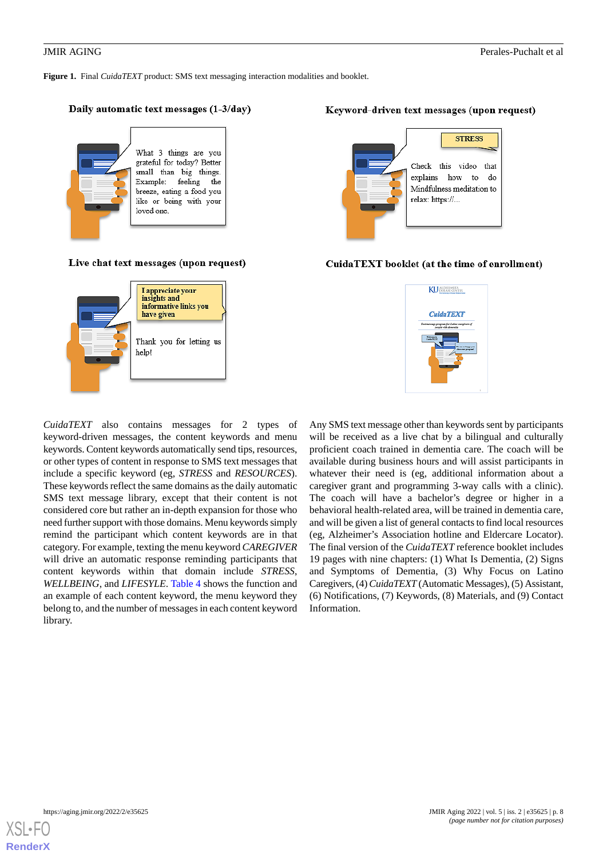<span id="page-7-0"></span>**Figure 1.** Final *CuidaTEXT* product: SMS text messaging interaction modalities and booklet.

### Daily automatic text messages (1-3/day)



### Live chat text messages (upon request)



*CuidaTEXT* also contains messages for 2 types of keyword-driven messages, the content keywords and menu keywords. Content keywords automatically send tips, resources, or other types of content in response to SMS text messages that include a specific keyword (eg, *STRESS* and *RESOURCES*). These keywords reflect the same domains as the daily automatic SMS text message library, except that their content is not considered core but rather an in-depth expansion for those who need further support with those domains. Menu keywords simply remind the participant which content keywords are in that category. For example, texting the menu keyword *CAREGIVER* will drive an automatic response reminding participants that content keywords within that domain include *STRESS*, *WELLBEING*, and *LIFESYLE*. [Table 4](#page-8-0) shows the function and an example of each content keyword, the menu keyword they belong to, and the number of messages in each content keyword library.

### Keyword-driven text messages (upon request)



### CuidaTEXT booklet (at the time of enrollment)



Any SMS text message other than keywords sent by participants will be received as a live chat by a bilingual and culturally proficient coach trained in dementia care. The coach will be available during business hours and will assist participants in whatever their need is (eg, additional information about a caregiver grant and programming 3-way calls with a clinic). The coach will have a bachelor's degree or higher in a behavioral health-related area, will be trained in dementia care, and will be given a list of general contacts to find local resources (eg, Alzheimer's Association hotline and Eldercare Locator). The final version of the *CuidaTEXT* reference booklet includes 19 pages with nine chapters: (1) What Is Dementia, (2) Signs and Symptoms of Dementia, (3) Why Focus on Latino Caregivers, (4) *CuidaTEXT*(Automatic Messages), (5) Assistant, (6) Notifications, (7) Keywords, (8) Materials, and (9) Contact Information.

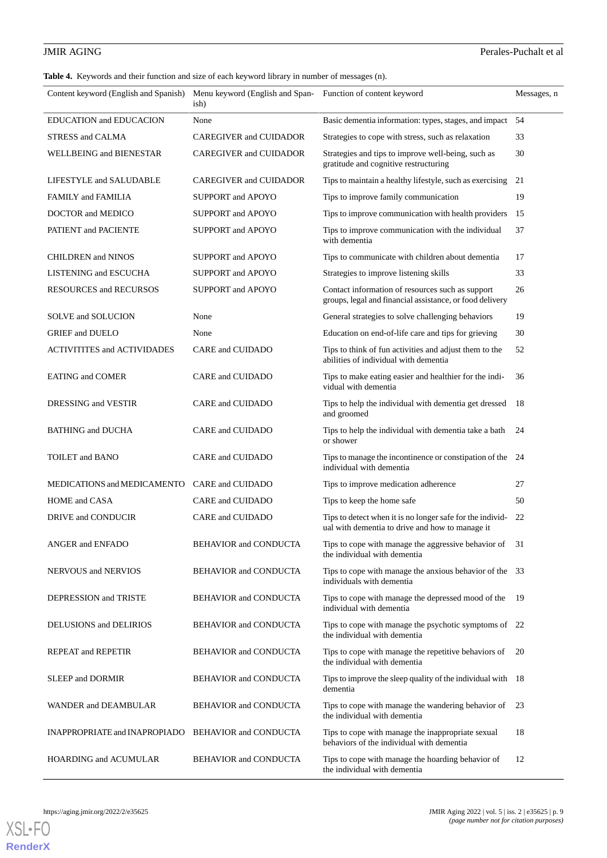### **JMIR AGING** Perales-Puchalt et al

<span id="page-8-0"></span>**Table 4.** Keywords and their function and size of each keyword library in number of messages (n).

| Content keyword (English and Spanish) Menu keyword (English and Span- Function of content keyword | ish)                          |                                                                                                              | Messages, n |
|---------------------------------------------------------------------------------------------------|-------------------------------|--------------------------------------------------------------------------------------------------------------|-------------|
| EDUCATION and EDUCACION                                                                           | None                          | Basic dementia information: types, stages, and impact                                                        | 54          |
| STRESS and CALMA                                                                                  | <b>CAREGIVER and CUIDADOR</b> | Strategies to cope with stress, such as relaxation                                                           | 33          |
| WELLBEING and BIENESTAR                                                                           | <b>CAREGIVER and CUIDADOR</b> | Strategies and tips to improve well-being, such as<br>gratitude and cognitive restructuring                  | 30          |
| LIFESTYLE and SALUDABLE                                                                           | <b>CAREGIVER and CUIDADOR</b> | Tips to maintain a healthy lifestyle, such as exercising                                                     | 21          |
| FAMILY and FAMILIA                                                                                | <b>SUPPORT and APOYO</b>      | Tips to improve family communication                                                                         | 19          |
| DOCTOR and MEDICO                                                                                 | <b>SUPPORT and APOYO</b>      | Tips to improve communication with health providers                                                          | 15          |
| PATIENT and PACIENTE                                                                              | SUPPORT and APOYO             | Tips to improve communication with the individual<br>with dementia                                           | 37          |
| <b>CHILDREN</b> and NINOS                                                                         | SUPPORT and APOYO             | Tips to communicate with children about dementia                                                             | 17          |
| LISTENING and ESCUCHA                                                                             | <b>SUPPORT and APOYO</b>      | Strategies to improve listening skills                                                                       | 33          |
| <b>RESOURCES and RECURSOS</b>                                                                     | SUPPORT and APOYO             | Contact information of resources such as support<br>groups, legal and financial assistance, or food delivery | 26          |
| SOLVE and SOLUCION                                                                                | None                          | General strategies to solve challenging behaviors                                                            | 19          |
| <b>GRIEF</b> and <b>DUELO</b>                                                                     | None                          | Education on end-of-life care and tips for grieving                                                          | 30          |
| <b>ACTIVITITES and ACTIVIDADES</b>                                                                | CARE and CUIDADO              | Tips to think of fun activities and adjust them to the<br>abilities of individual with dementia              | 52          |
| <b>EATING and COMER</b>                                                                           | CARE and CUIDADO              | Tips to make eating easier and healthier for the indi-<br>vidual with dementia                               | 36          |
| DRESSING and VESTIR                                                                               | CARE and CUIDADO              | Tips to help the individual with dementia get dressed<br>and groomed                                         | 18          |
| <b>BATHING and DUCHA</b>                                                                          | CARE and CUIDADO              | Tips to help the individual with dementia take a bath<br>or shower                                           | 24          |
| <b>TOILET</b> and <b>BANO</b>                                                                     | CARE and CUIDADO              | Tips to manage the incontinence or constipation of the 24<br>individual with dementia                        |             |
| MEDICATIONS and MEDICAMENTO                                                                       | CARE and CUIDADO              | Tips to improve medication adherence                                                                         | 27          |
| HOME and CASA                                                                                     | CARE and CUIDADO              | Tips to keep the home safe                                                                                   | 50          |
| DRIVE and CONDUCIR                                                                                | CARE and CUIDADO              | Tips to detect when it is no longer safe for the individ-<br>ual with dementia to drive and how to manage it | 22          |
| ANGER and ENFADO                                                                                  | BEHAVIOR and CONDUCTA         | Tips to cope with manage the aggressive behavior of<br>the individual with dementia                          | 31          |
| <b>NERVOUS and NERVIOS</b>                                                                        | <b>BEHAVIOR and CONDUCTA</b>  | Tips to cope with manage the anxious behavior of the 33<br>individuals with dementia                         |             |
| DEPRESSION and TRISTE                                                                             | <b>BEHAVIOR and CONDUCTA</b>  | Tips to cope with manage the depressed mood of the<br>individual with dementia                               | 19          |
| <b>DELUSIONS</b> and <b>DELIRIOS</b>                                                              | <b>BEHAVIOR and CONDUCTA</b>  | Tips to cope with manage the psychotic symptoms of 22<br>the individual with dementia                        |             |
| REPEAT and REPETIR                                                                                | <b>BEHAVIOR and CONDUCTA</b>  | Tips to cope with manage the repetitive behaviors of<br>the individual with dementia                         | 20          |
| <b>SLEEP and DORMIR</b>                                                                           | <b>BEHAVIOR and CONDUCTA</b>  | Tips to improve the sleep quality of the individual with $18$<br>dementia                                    |             |
| WANDER and DEAMBULAR                                                                              | <b>BEHAVIOR and CONDUCTA</b>  | Tips to cope with manage the wandering behavior of<br>the individual with dementia                           | 23          |
| <b>INAPPROPRIATE and INAPROPIADO</b>                                                              | BEHAVIOR and CONDUCTA         | Tips to cope with manage the inappropriate sexual<br>behaviors of the individual with dementia               | 18          |
| HOARDING and ACUMULAR                                                                             | <b>BEHAVIOR and CONDUCTA</b>  | Tips to cope with manage the hoarding behavior of<br>the individual with dementia                            | 12          |

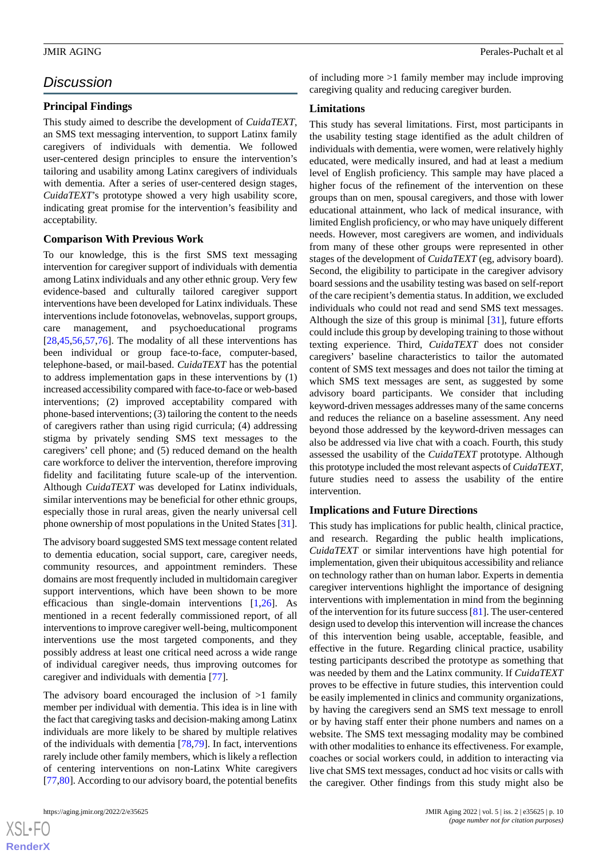## *Discussion*

### **Principal Findings**

This study aimed to describe the development of *CuidaTEXT*, an SMS text messaging intervention, to support Latinx family caregivers of individuals with dementia. We followed user-centered design principles to ensure the intervention's tailoring and usability among Latinx caregivers of individuals with dementia. After a series of user-centered design stages, *CuidaTEXT*'s prototype showed a very high usability score, indicating great promise for the intervention's feasibility and acceptability.

### **Comparison With Previous Work**

To our knowledge, this is the first SMS text messaging intervention for caregiver support of individuals with dementia among Latinx individuals and any other ethnic group. Very few evidence-based and culturally tailored caregiver support interventions have been developed for Latinx individuals. These interventions include fotonovelas, webnovelas, support groups, care management, and psychoeducational programs [[28](#page-11-11)[,45](#page-12-10),[56](#page-13-17)[,57](#page-13-18),[76\]](#page-13-19). The modality of all these interventions has been individual or group face-to-face, computer-based, telephone-based, or mail-based. *CuidaTEXT* has the potential to address implementation gaps in these interventions by (1) increased accessibility compared with face-to-face or web-based interventions; (2) improved acceptability compared with phone-based interventions; (3) tailoring the content to the needs of caregivers rather than using rigid curricula; (4) addressing stigma by privately sending SMS text messages to the caregivers' cell phone; and (5) reduced demand on the health care workforce to deliver the intervention, therefore improving fidelity and facilitating future scale-up of the intervention. Although *CuidaTEXT* was developed for Latinx individuals, similar interventions may be beneficial for other ethnic groups, especially those in rural areas, given the nearly universal cell phone ownership of most populations in the United States [[31\]](#page-11-15).

The advisory board suggested SMS text message content related to dementia education, social support, care, caregiver needs, community resources, and appointment reminders. These domains are most frequently included in multidomain caregiver support interventions, which have been shown to be more efficacious than single-domain interventions [[1](#page-10-0)[,26](#page-11-10)]. As mentioned in a recent federally commissioned report, of all interventions to improve caregiver well-being, multicomponent interventions use the most targeted components, and they possibly address at least one critical need across a wide range of individual caregiver needs, thus improving outcomes for caregiver and individuals with dementia [\[77](#page-13-20)].

The advisory board encouraged the inclusion of  $>1$  family member per individual with dementia. This idea is in line with the fact that caregiving tasks and decision-making among Latinx individuals are more likely to be shared by multiple relatives of the individuals with dementia [[78](#page-13-21)[,79](#page-13-22)]. In fact, interventions rarely include other family members, which is likely a reflection of centering interventions on non-Latinx White caregivers [[77](#page-13-20)[,80](#page-13-23)]. According to our advisory board, the potential benefits

of including more >1 family member may include improving caregiving quality and reducing caregiver burden.

### **Limitations**

This study has several limitations. First, most participants in the usability testing stage identified as the adult children of individuals with dementia, were women, were relatively highly educated, were medically insured, and had at least a medium level of English proficiency. This sample may have placed a higher focus of the refinement of the intervention on these groups than on men, spousal caregivers, and those with lower educational attainment, who lack of medical insurance, with limited English proficiency, or who may have uniquely different needs. However, most caregivers are women, and individuals from many of these other groups were represented in other stages of the development of *CuidaTEXT* (eg, advisory board). Second, the eligibility to participate in the caregiver advisory board sessions and the usability testing was based on self-report of the care recipient's dementia status. In addition, we excluded individuals who could not read and send SMS text messages. Although the size of this group is minimal [[31\]](#page-11-15), future efforts could include this group by developing training to those without texting experience. Third, *CuidaTEXT* does not consider caregivers' baseline characteristics to tailor the automated content of SMS text messages and does not tailor the timing at which SMS text messages are sent, as suggested by some advisory board participants. We consider that including keyword-driven messages addresses many of the same concerns and reduces the reliance on a baseline assessment. Any need beyond those addressed by the keyword-driven messages can also be addressed via live chat with a coach. Fourth, this study assessed the usability of the *CuidaTEXT* prototype. Although this prototype included the most relevant aspects of *CuidaTEXT*, future studies need to assess the usability of the entire intervention.

### **Implications and Future Directions**

This study has implications for public health, clinical practice, and research. Regarding the public health implications, *CuidaTEXT* or similar interventions have high potential for implementation, given their ubiquitous accessibility and reliance on technology rather than on human labor. Experts in dementia caregiver interventions highlight the importance of designing interventions with implementation in mind from the beginning of the intervention for its future success [[81\]](#page-14-0). The user-centered design used to develop this intervention will increase the chances of this intervention being usable, acceptable, feasible, and effective in the future. Regarding clinical practice, usability testing participants described the prototype as something that was needed by them and the Latinx community. If *CuidaTEXT* proves to be effective in future studies, this intervention could be easily implemented in clinics and community organizations, by having the caregivers send an SMS text message to enroll or by having staff enter their phone numbers and names on a website. The SMS text messaging modality may be combined with other modalities to enhance its effectiveness. For example, coaches or social workers could, in addition to interacting via live chat SMS text messages, conduct ad hoc visits or calls with the caregiver. Other findings from this study might also be

 $XS$ -FO **[RenderX](http://www.renderx.com/)**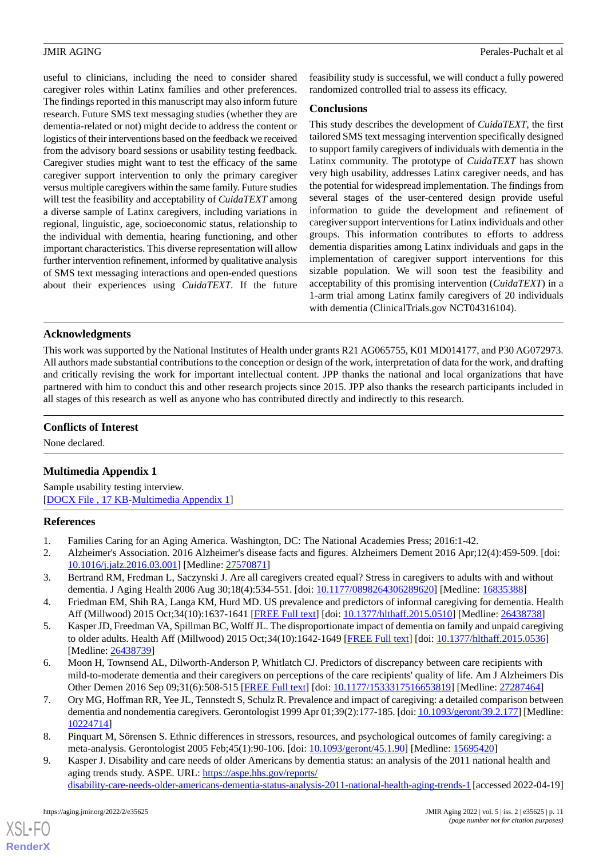useful to clinicians, including the need to consider shared caregiver roles within Latinx families and other preferences. The findings reported in this manuscript may also inform future research. Future SMS text messaging studies (whether they are dementia-related or not) might decide to address the content or logistics of their interventions based on the feedback we received from the advisory board sessions or usability testing feedback. Caregiver studies might want to test the efficacy of the same caregiver support intervention to only the primary caregiver versus multiple caregivers within the same family. Future studies will test the feasibility and acceptability of *CuidaTEXT* among a diverse sample of Latinx caregivers, including variations in regional, linguistic, age, socioeconomic status, relationship to the individual with dementia, hearing functioning, and other important characteristics. This diverse representation will allow further intervention refinement, informed by qualitative analysis of SMS text messaging interactions and open-ended questions about their experiences using *CuidaTEXT*. If the future

feasibility study is successful, we will conduct a fully powered randomized controlled trial to assess its efficacy.

### **Conclusions**

This study describes the development of *CuidaTEXT*, the first tailored SMS text messaging intervention specifically designed to support family caregivers of individuals with dementia in the Latinx community. The prototype of *CuidaTEXT* has shown very high usability, addresses Latinx caregiver needs, and has the potential for widespread implementation. The findings from several stages of the user-centered design provide useful information to guide the development and refinement of caregiver support interventions for Latinx individuals and other groups. This information contributes to efforts to address dementia disparities among Latinx individuals and gaps in the implementation of caregiver support interventions for this sizable population. We will soon test the feasibility and acceptability of this promising intervention (*CuidaTEXT*) in a 1-arm trial among Latinx family caregivers of 20 individuals with dementia (ClinicalTrials.gov NCT04316104).

### **Acknowledgments**

This work was supported by the National Institutes of Health under grants R21 AG065755, K01 MD014177, and P30 AG072973. All authors made substantial contributions to the conception or design of the work, interpretation of data for the work, and drafting and critically revising the work for important intellectual content. JPP thanks the national and local organizations that have partnered with him to conduct this and other research projects since 2015. JPP also thanks the research participants included in all stages of this research as well as anyone who has contributed directly and indirectly to this research.

### <span id="page-10-5"></span>**Conflicts of Interest**

None declared.

## **Multimedia Appendix 1**

<span id="page-10-0"></span>Sample usability testing interview. [[DOCX File , 17 KB](https://jmir.org/api/download?alt_name=aging_v5i2e35625_app1.docx&filename=cc72de7f30629cae8da25728962e2168.docx)-[Multimedia Appendix 1\]](https://jmir.org/api/download?alt_name=aging_v5i2e35625_app1.docx&filename=cc72de7f30629cae8da25728962e2168.docx)

### **References**

- <span id="page-10-3"></span>1. Families Caring for an Aging America. Washington, DC: The National Academies Press; 2016:1-42.
- <span id="page-10-4"></span>2. Alzheimer's Association. 2016 Alzheimer's disease facts and figures. Alzheimers Dement 2016 Apr;12(4):459-509. [doi: [10.1016/j.jalz.2016.03.001](http://dx.doi.org/10.1016/j.jalz.2016.03.001)] [Medline: [27570871\]](http://www.ncbi.nlm.nih.gov/entrez/query.fcgi?cmd=Retrieve&db=PubMed&list_uids=27570871&dopt=Abstract)
- 3. Bertrand RM, Fredman L, Saczynski J. Are all caregivers created equal? Stress in caregivers to adults with and without dementia. J Aging Health 2006 Aug 30;18(4):534-551. [doi: [10.1177/0898264306289620\]](http://dx.doi.org/10.1177/0898264306289620) [Medline: [16835388](http://www.ncbi.nlm.nih.gov/entrez/query.fcgi?cmd=Retrieve&db=PubMed&list_uids=16835388&dopt=Abstract)]
- 4. Friedman EM, Shih RA, Langa KM, Hurd MD. US prevalence and predictors of informal caregiving for dementia. Health Aff (Millwood) 2015 Oct;34(10):1637-1641 [\[FREE Full text\]](http://europepmc.org/abstract/MED/26438738) [doi: [10.1377/hlthaff.2015.0510\]](http://dx.doi.org/10.1377/hlthaff.2015.0510) [Medline: [26438738\]](http://www.ncbi.nlm.nih.gov/entrez/query.fcgi?cmd=Retrieve&db=PubMed&list_uids=26438738&dopt=Abstract)
- 5. Kasper JD, Freedman VA, Spillman BC, Wolff JL. The disproportionate impact of dementia on family and unpaid caregiving to older adults. Health Aff (Millwood) 2015 Oct;34(10):1642-1649 [[FREE Full text](http://europepmc.org/abstract/MED/26438739)] [doi: [10.1377/hlthaff.2015.0536](http://dx.doi.org/10.1377/hlthaff.2015.0536)] [Medline: [26438739](http://www.ncbi.nlm.nih.gov/entrez/query.fcgi?cmd=Retrieve&db=PubMed&list_uids=26438739&dopt=Abstract)]
- <span id="page-10-1"></span>6. Moon H, Townsend AL, Dilworth-Anderson P, Whitlatch CJ. Predictors of discrepancy between care recipients with mild-to-moderate dementia and their caregivers on perceptions of the care recipients' quality of life. Am J Alzheimers Dis Other Demen 2016 Sep 09;31(6):508-515 [[FREE Full text\]](https://journals.sagepub.com/doi/10.1177/1533317516653819?url_ver=Z39.88-2003&rfr_id=ori:rid:crossref.org&rfr_dat=cr_pub%3dpubmed) [doi: [10.1177/1533317516653819](http://dx.doi.org/10.1177/1533317516653819)] [Medline: [27287464](http://www.ncbi.nlm.nih.gov/entrez/query.fcgi?cmd=Retrieve&db=PubMed&list_uids=27287464&dopt=Abstract)]
- <span id="page-10-2"></span>7. Ory MG, Hoffman RR, Yee JL, Tennstedt S, Schulz R. Prevalence and impact of caregiving: a detailed comparison between dementia and nondementia caregivers. Gerontologist 1999 Apr 01;39(2):177-185. [doi: [10.1093/geront/39.2.177](http://dx.doi.org/10.1093/geront/39.2.177)] [Medline: [10224714](http://www.ncbi.nlm.nih.gov/entrez/query.fcgi?cmd=Retrieve&db=PubMed&list_uids=10224714&dopt=Abstract)]
- 8. Pinquart M, Sörensen S. Ethnic differences in stressors, resources, and psychological outcomes of family caregiving: a meta-analysis. Gerontologist 2005 Feb;45(1):90-106. [doi: [10.1093/geront/45.1.90](http://dx.doi.org/10.1093/geront/45.1.90)] [Medline: [15695420\]](http://www.ncbi.nlm.nih.gov/entrez/query.fcgi?cmd=Retrieve&db=PubMed&list_uids=15695420&dopt=Abstract)
- 9. Kasper J. Disability and care needs of older Americans by dementia status: an analysis of the 2011 national health and aging trends study. ASPE. URL: [https://aspe.hhs.gov/reports/](https://aspe.hhs.gov/reports/disability-care-needs-older-americans-dementia-status-analysis-2011-national-health-aging-trends-1)

```
disability-care-needs-older-americans-dementia-status-analysis-2011-national-health-aging-trends-1 [accessed 2022-04-19]
```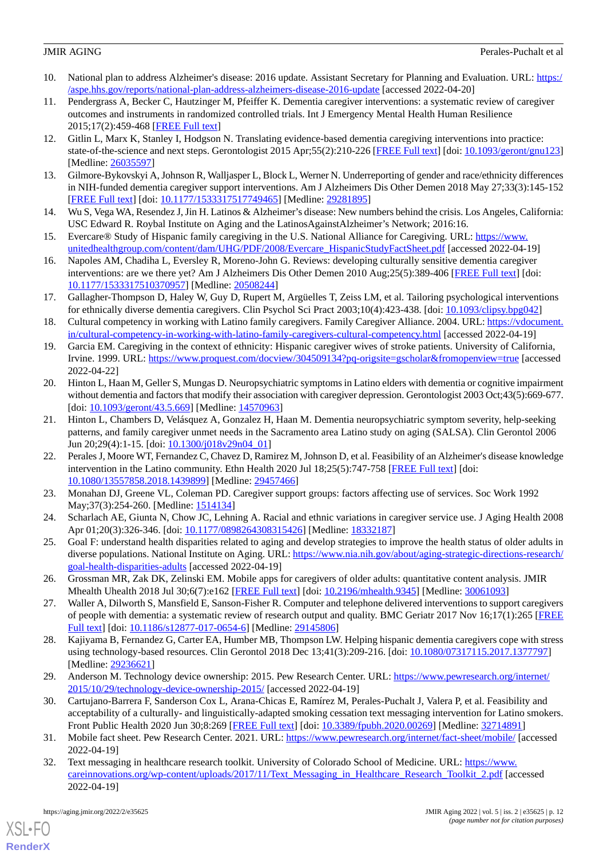- <span id="page-11-0"></span>10. National plan to address Alzheimer's disease: 2016 update. Assistant Secretary for Planning and Evaluation. URL: [https:/](https://aspe.hhs.gov/reports/national-plan-address-alzheimers-disease-2016-update) [/aspe.hhs.gov/reports/national-plan-address-alzheimers-disease-2016-update](https://aspe.hhs.gov/reports/national-plan-address-alzheimers-disease-2016-update) [accessed 2022-04-20]
- <span id="page-11-1"></span>11. Pendergrass A, Becker C, Hautzinger M, Pfeiffer K. Dementia caregiver interventions: a systematic review of caregiver outcomes and instruments in randomized controlled trials. Int J Emergency Mental Health Human Resilience 2015;17(2):459-468 [[FREE Full text](https://citeseerx.ist.psu.edu/viewdoc/download?doi=10.1.1.903.911&rep=rep1&type=pdf)]
- 12. Gitlin L, Marx K, Stanley I, Hodgson N. Translating evidence-based dementia caregiving interventions into practice: state-of-the-science and next steps. Gerontologist 2015 Apr;55(2):210-226 [\[FREE Full text](http://europepmc.org/abstract/MED/26035597)] [doi: [10.1093/geront/gnu123](http://dx.doi.org/10.1093/geront/gnu123)] [Medline: [26035597](http://www.ncbi.nlm.nih.gov/entrez/query.fcgi?cmd=Retrieve&db=PubMed&list_uids=26035597&dopt=Abstract)]
- <span id="page-11-3"></span><span id="page-11-2"></span>13. Gilmore-Bykovskyi A, Johnson R, Walljasper L, Block L, Werner N. Underreporting of gender and race/ethnicity differences in NIH-funded dementia caregiver support interventions. Am J Alzheimers Dis Other Demen 2018 May 27;33(3):145-152 [[FREE Full text](https://journals.sagepub.com/doi/10.1177/1533317517749465?url_ver=Z39.88-2003&rfr_id=ori:rid:crossref.org&rfr_dat=cr_pub%3dpubmed)] [doi: [10.1177/1533317517749465\]](http://dx.doi.org/10.1177/1533317517749465) [Medline: [29281895](http://www.ncbi.nlm.nih.gov/entrez/query.fcgi?cmd=Retrieve&db=PubMed&list_uids=29281895&dopt=Abstract)]
- <span id="page-11-4"></span>14. Wu S, Vega WA, Resendez J, Jin H. Latinos & Alzheimer's disease: New numbers behind the crisis. Los Angeles, California: USC Edward R. Roybal Institute on Aging and the LatinosAgainstAlzheimer's Network; 2016:16.
- 15. Evercare® Study of Hispanic family caregiving in the U.S. National Alliance for Caregiving. URL: [https://www.](https://www.unitedhealthgroup.com/content/dam/UHG/PDF/2008/Evercare_HispanicStudyFactSheet.pdf) [unitedhealthgroup.com/content/dam/UHG/PDF/2008/Evercare\\_HispanicStudyFactSheet.pdf](https://www.unitedhealthgroup.com/content/dam/UHG/PDF/2008/Evercare_HispanicStudyFactSheet.pdf) [accessed 2022-04-19]
- 16. Napoles AM, Chadiha L, Eversley R, Moreno-John G. Reviews: developing culturally sensitive dementia caregiver interventions: are we there yet? Am J Alzheimers Dis Other Demen 2010 Aug;25(5):389-406 [\[FREE Full text](https://journals.sagepub.com/doi/10.1177/1533317510370957?url_ver=Z39.88-2003&rfr_id=ori:rid:crossref.org&rfr_dat=cr_pub%3dpubmed)] [doi: [10.1177/1533317510370957\]](http://dx.doi.org/10.1177/1533317510370957) [Medline: [20508244\]](http://www.ncbi.nlm.nih.gov/entrez/query.fcgi?cmd=Retrieve&db=PubMed&list_uids=20508244&dopt=Abstract)
- 17. Gallagher-Thompson D, Haley W, Guy D, Rupert M, Argüelles T, Zeiss LM, et al. Tailoring psychological interventions for ethnically diverse dementia caregivers. Clin Psychol Sci Pract 2003;10(4):423-438. [doi: [10.1093/clipsy.bpg042](http://dx.doi.org/10.1093/clipsy.bpg042)]
- 18. Cultural competency in working with Latino family caregivers. Family Caregiver Alliance. 2004. URL: [https://vdocument.](https://vdocument.in/cultural-competency-in-working-with-latino-family-caregivers-cultural-competency.html) [in/cultural-competency-in-working-with-latino-family-caregivers-cultural-competency.html](https://vdocument.in/cultural-competency-in-working-with-latino-family-caregivers-cultural-competency.html) [accessed 2022-04-19]
- 19. Garcia EM. Caregiving in the context of ethnicity: Hispanic caregiver wives of stroke patients. University of California, Irvine. 1999. URL: <https://www.proquest.com/docview/304509134?pq-origsite=gscholar&fromopenview=true> [accessed 2022-04-22]
- <span id="page-11-5"></span>20. Hinton L, Haan M, Geller S, Mungas D. Neuropsychiatric symptoms in Latino elders with dementia or cognitive impairment without dementia and factors that modify their association with caregiver depression. Gerontologist 2003 Oct;43(5):669-677. [doi: [10.1093/geront/43.5.669](http://dx.doi.org/10.1093/geront/43.5.669)] [Medline: [14570963](http://www.ncbi.nlm.nih.gov/entrez/query.fcgi?cmd=Retrieve&db=PubMed&list_uids=14570963&dopt=Abstract)]
- <span id="page-11-6"></span>21. Hinton L, Chambers D, Velásquez A, Gonzalez H, Haan M. Dementia neuropsychiatric symptom severity, help-seeking patterns, and family caregiver unmet needs in the Sacramento area Latino study on aging (SALSA). Clin Gerontol 2006 Jun 20;29(4):1-15. [doi: [10.1300/j018v29n04\\_01\]](http://dx.doi.org/10.1300/j018v29n04_01)
- <span id="page-11-8"></span><span id="page-11-7"></span>22. Perales J, Moore WT, Fernandez C, Chavez D, Ramirez M, Johnson D, et al. Feasibility of an Alzheimer's disease knowledge intervention in the Latino community. Ethn Health 2020 Jul 18;25(5):747-758 [\[FREE Full text\]](http://europepmc.org/abstract/MED/29457466) [doi: [10.1080/13557858.2018.1439899\]](http://dx.doi.org/10.1080/13557858.2018.1439899) [Medline: [29457466\]](http://www.ncbi.nlm.nih.gov/entrez/query.fcgi?cmd=Retrieve&db=PubMed&list_uids=29457466&dopt=Abstract)
- <span id="page-11-9"></span>23. Monahan DJ, Greene VL, Coleman PD. Caregiver support groups: factors affecting use of services. Soc Work 1992 May; 37(3): 254-260. [Medline: [1514134](http://www.ncbi.nlm.nih.gov/entrez/query.fcgi?cmd=Retrieve&db=PubMed&list_uids=1514134&dopt=Abstract)]
- <span id="page-11-10"></span>24. Scharlach AE, Giunta N, Chow JC, Lehning A. Racial and ethnic variations in caregiver service use. J Aging Health 2008 Apr 01;20(3):326-346. [doi: [10.1177/0898264308315426\]](http://dx.doi.org/10.1177/0898264308315426) [Medline: [18332187\]](http://www.ncbi.nlm.nih.gov/entrez/query.fcgi?cmd=Retrieve&db=PubMed&list_uids=18332187&dopt=Abstract)
- <span id="page-11-14"></span>25. Goal F: understand health disparities related to aging and develop strategies to improve the health status of older adults in diverse populations. National Institute on Aging. URL: [https://www.nia.nih.gov/about/aging-strategic-directions-research/](https://www.nia.nih.gov/about/aging-strategic-directions-research/goal-health-disparities-adults) [goal-health-disparities-adults](https://www.nia.nih.gov/about/aging-strategic-directions-research/goal-health-disparities-adults) [accessed 2022-04-19]
- <span id="page-11-11"></span>26. Grossman MR, Zak DK, Zelinski EM. Mobile apps for caregivers of older adults: quantitative content analysis. JMIR Mhealth Uhealth 2018 Jul 30;6(7):e162 [[FREE Full text](https://mhealth.jmir.org/2018/7/e162/)] [doi: [10.2196/mhealth.9345](http://dx.doi.org/10.2196/mhealth.9345)] [Medline: [30061093](http://www.ncbi.nlm.nih.gov/entrez/query.fcgi?cmd=Retrieve&db=PubMed&list_uids=30061093&dopt=Abstract)]
- <span id="page-11-12"></span>27. Waller A, Dilworth S, Mansfield E, Sanson-Fisher R. Computer and telephone delivered interventions to support caregivers of people with dementia: a systematic review of research output and quality. BMC Geriatr 2017 Nov 16;17(1):265 [\[FREE](https://bmcgeriatr.biomedcentral.com/articles/10.1186/s12877-017-0654-6) [Full text\]](https://bmcgeriatr.biomedcentral.com/articles/10.1186/s12877-017-0654-6) [doi: [10.1186/s12877-017-0654-6](http://dx.doi.org/10.1186/s12877-017-0654-6)] [Medline: [29145806](http://www.ncbi.nlm.nih.gov/entrez/query.fcgi?cmd=Retrieve&db=PubMed&list_uids=29145806&dopt=Abstract)]
- <span id="page-11-13"></span>28. Kajiyama B, Fernandez G, Carter EA, Humber MB, Thompson LW. Helping hispanic dementia caregivers cope with stress using technology-based resources. Clin Gerontol 2018 Dec 13;41(3):209-216. [doi: [10.1080/07317115.2017.1377797\]](http://dx.doi.org/10.1080/07317115.2017.1377797) [Medline: [29236621](http://www.ncbi.nlm.nih.gov/entrez/query.fcgi?cmd=Retrieve&db=PubMed&list_uids=29236621&dopt=Abstract)]
- <span id="page-11-15"></span>29. Anderson M. Technology device ownership: 2015. Pew Research Center. URL: [https://www.pewresearch.org/internet/](https://www.pewresearch.org/internet/2015/10/29/technology-device-ownership-2015/) [2015/10/29/technology-device-ownership-2015/](https://www.pewresearch.org/internet/2015/10/29/technology-device-ownership-2015/) [accessed 2022-04-19]
- 30. Cartujano-Barrera F, Sanderson Cox L, Arana-Chicas E, Ramírez M, Perales-Puchalt J, Valera P, et al. Feasibility and acceptability of a culturally- and linguistically-adapted smoking cessation text messaging intervention for Latino smokers. Front Public Health 2020 Jun 30;8:269 [\[FREE Full text\]](https://doi.org/10.3389/fpubh.2020.00269) [doi: [10.3389/fpubh.2020.00269](http://dx.doi.org/10.3389/fpubh.2020.00269)] [Medline: [32714891](http://www.ncbi.nlm.nih.gov/entrez/query.fcgi?cmd=Retrieve&db=PubMed&list_uids=32714891&dopt=Abstract)]
- 31. Mobile fact sheet. Pew Research Center. 2021. URL: <https://www.pewresearch.org/internet/fact-sheet/mobile/> [accessed 2022-04-19]
- 32. Text messaging in healthcare research toolkit. University of Colorado School of Medicine. URL: [https://www.](https://www.careinnovations.org/wp-content/uploads/2017/11/Text_Messaging_in_Healthcare_Research_Toolkit_2.pdf) [careinnovations.org/wp-content/uploads/2017/11/Text\\_Messaging\\_in\\_Healthcare\\_Research\\_Toolkit\\_2.pdf](https://www.careinnovations.org/wp-content/uploads/2017/11/Text_Messaging_in_Healthcare_Research_Toolkit_2.pdf) [accessed 2022-04-19]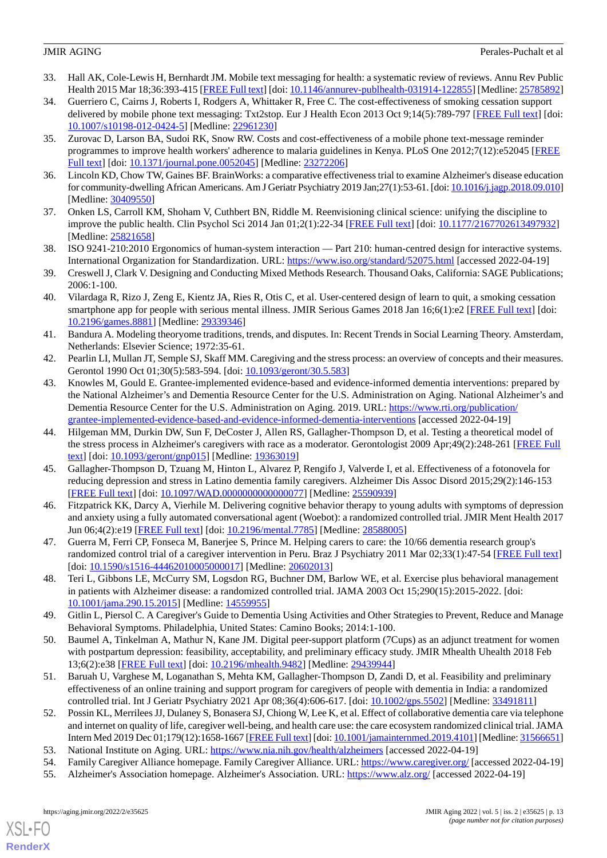- 33. Hall AK, Cole-Lewis H, Bernhardt JM. Mobile text messaging for health: a systematic review of reviews. Annu Rev Public Health 2015 Mar 18;36:393-415 [\[FREE Full text](http://europepmc.org/abstract/MED/25785892)] [doi: [10.1146/annurev-publhealth-031914-122855](http://dx.doi.org/10.1146/annurev-publhealth-031914-122855)] [Medline: [25785892\]](http://www.ncbi.nlm.nih.gov/entrez/query.fcgi?cmd=Retrieve&db=PubMed&list_uids=25785892&dopt=Abstract)
- 34. Guerriero C, Cairns J, Roberts I, Rodgers A, Whittaker R, Free C. The cost-effectiveness of smoking cessation support delivered by mobile phone text messaging: Txt2stop. Eur J Health Econ 2013 Oct 9;14(5):789-797 [\[FREE Full text\]](http://europepmc.org/abstract/MED/22961230) [doi: [10.1007/s10198-012-0424-5\]](http://dx.doi.org/10.1007/s10198-012-0424-5) [Medline: [22961230](http://www.ncbi.nlm.nih.gov/entrez/query.fcgi?cmd=Retrieve&db=PubMed&list_uids=22961230&dopt=Abstract)]
- <span id="page-12-0"></span>35. Zurovac D, Larson BA, Sudoi RK, Snow RW. Costs and cost-effectiveness of a mobile phone text-message reminder programmes to improve health workers' adherence to malaria guidelines in Kenya. PLoS One 2012;7(12):e52045 [[FREE](https://dx.plos.org/10.1371/journal.pone.0052045) [Full text\]](https://dx.plos.org/10.1371/journal.pone.0052045) [doi: [10.1371/journal.pone.0052045](http://dx.doi.org/10.1371/journal.pone.0052045)] [Medline: [23272206](http://www.ncbi.nlm.nih.gov/entrez/query.fcgi?cmd=Retrieve&db=PubMed&list_uids=23272206&dopt=Abstract)]
- <span id="page-12-2"></span><span id="page-12-1"></span>36. Lincoln KD, Chow TW, Gaines BF. BrainWorks: a comparative effectiveness trial to examine Alzheimer's disease education for community-dwelling African Americans. Am J Geriatr Psychiatry 2019 Jan;27(1):53-61. [doi: [10.1016/j.jagp.2018.09.010\]](http://dx.doi.org/10.1016/j.jagp.2018.09.010) [Medline: [30409550](http://www.ncbi.nlm.nih.gov/entrez/query.fcgi?cmd=Retrieve&db=PubMed&list_uids=30409550&dopt=Abstract)]
- <span id="page-12-3"></span>37. Onken LS, Carroll KM, Shoham V, Cuthbert BN, Riddle M. Reenvisioning clinical science: unifying the discipline to improve the public health. Clin Psychol Sci 2014 Jan 01;2(1):22-34 [[FREE Full text](http://europepmc.org/abstract/MED/25821658)] [doi: [10.1177/2167702613497932\]](http://dx.doi.org/10.1177/2167702613497932) [Medline: [25821658](http://www.ncbi.nlm.nih.gov/entrez/query.fcgi?cmd=Retrieve&db=PubMed&list_uids=25821658&dopt=Abstract)]
- <span id="page-12-4"></span>38. ISO 9241-210:2010 Ergonomics of human-system interaction — Part 210: human-centred design for interactive systems. International Organization for Standardization. URL: <https://www.iso.org/standard/52075.html> [accessed 2022-04-19]
- <span id="page-12-5"></span>39. Creswell J, Clark V. Designing and Conducting Mixed Methods Research. Thousand Oaks, California: SAGE Publications; 2006:1-100.
- <span id="page-12-6"></span>40. Vilardaga R, Rizo J, Zeng E, Kientz JA, Ries R, Otis C, et al. User-centered design of learn to quit, a smoking cessation smartphone app for people with serious mental illness. JMIR Serious Games 2018 Jan 16;6(1):e2 [\[FREE Full text\]](https://games.jmir.org/2018/1/e2/) [doi: [10.2196/games.8881\]](http://dx.doi.org/10.2196/games.8881) [Medline: [29339346\]](http://www.ncbi.nlm.nih.gov/entrez/query.fcgi?cmd=Retrieve&db=PubMed&list_uids=29339346&dopt=Abstract)
- <span id="page-12-8"></span><span id="page-12-7"></span>41. Bandura A. Modeling theoryome traditions, trends, and disputes. In: Recent Trends in Social Learning Theory. Amsterdam, Netherlands: Elsevier Science; 1972:35-61.
- 42. Pearlin LI, Mullan JT, Semple SJ, Skaff MM. Caregiving and the stress process: an overview of concepts and their measures. Gerontol 1990 Oct 01;30(5):583-594. [doi: [10.1093/geront/30.5.583\]](http://dx.doi.org/10.1093/geront/30.5.583)
- <span id="page-12-9"></span>43. Knowles M, Gould E. Grantee-implemented evidence-based and evidence-informed dementia interventions: prepared by the National Alzheimer's and Dementia Resource Center for the U.S. Administration on Aging. National Alzheimer's and Dementia Resource Center for the U.S. Administration on Aging. 2019. URL: [https://www.rti.org/publication/](https://www.rti.org/publication/grantee-implemented-evidence-based-and-evidence-informed-dementia-interventions) [grantee-implemented-evidence-based-and-evidence-informed-dementia-interventions](https://www.rti.org/publication/grantee-implemented-evidence-based-and-evidence-informed-dementia-interventions) [accessed 2022-04-19]
- <span id="page-12-10"></span>44. Hilgeman MM, Durkin DW, Sun F, DeCoster J, Allen RS, Gallagher-Thompson D, et al. Testing a theoretical model of the stress process in Alzheimer's caregivers with race as a moderator. Gerontologist 2009 Apr;49(2):248-261 [[FREE Full](http://europepmc.org/abstract/MED/19363019) [text](http://europepmc.org/abstract/MED/19363019)] [doi: [10.1093/geront/gnp015](http://dx.doi.org/10.1093/geront/gnp015)] [Medline: [19363019\]](http://www.ncbi.nlm.nih.gov/entrez/query.fcgi?cmd=Retrieve&db=PubMed&list_uids=19363019&dopt=Abstract)
- 45. Gallagher-Thompson D, Tzuang M, Hinton L, Alvarez P, Rengifo J, Valverde I, et al. Effectiveness of a fotonovela for reducing depression and stress in Latino dementia family caregivers. Alzheimer Dis Assoc Disord 2015;29(2):146-153 [[FREE Full text](http://europepmc.org/abstract/MED/25590939)] [doi: [10.1097/WAD.0000000000000077\]](http://dx.doi.org/10.1097/WAD.0000000000000077) [Medline: [25590939\]](http://www.ncbi.nlm.nih.gov/entrez/query.fcgi?cmd=Retrieve&db=PubMed&list_uids=25590939&dopt=Abstract)
- 46. Fitzpatrick KK, Darcy A, Vierhile M. Delivering cognitive behavior therapy to young adults with symptoms of depression and anxiety using a fully automated conversational agent (Woebot): a randomized controlled trial. JMIR Ment Health 2017 Jun 06;4(2):e19 [\[FREE Full text\]](https://mental.jmir.org/2017/2/e19/) [doi: [10.2196/mental.7785](http://dx.doi.org/10.2196/mental.7785)] [Medline: [28588005\]](http://www.ncbi.nlm.nih.gov/entrez/query.fcgi?cmd=Retrieve&db=PubMed&list_uids=28588005&dopt=Abstract)
- 47. Guerra M, Ferri CP, Fonseca M, Banerjee S, Prince M. Helping carers to care: the 10/66 dementia research group's randomized control trial of a caregiver intervention in Peru. Braz J Psychiatry 2011 Mar 02;33(1):47-54 [\[FREE Full text\]](https://www.scielo.br/scielo.php?script=sci_arttext&pid=S1516-44462010005000017&lng=en&nrm=iso&tlng=en) [doi: [10.1590/s1516-44462010005000017](http://dx.doi.org/10.1590/s1516-44462010005000017)] [Medline: [20602013](http://www.ncbi.nlm.nih.gov/entrez/query.fcgi?cmd=Retrieve&db=PubMed&list_uids=20602013&dopt=Abstract)]
- 48. Teri L, Gibbons LE, McCurry SM, Logsdon RG, Buchner DM, Barlow WE, et al. Exercise plus behavioral management in patients with Alzheimer disease: a randomized controlled trial. JAMA 2003 Oct 15;290(15):2015-2022. [doi: [10.1001/jama.290.15.2015\]](http://dx.doi.org/10.1001/jama.290.15.2015) [Medline: [14559955\]](http://www.ncbi.nlm.nih.gov/entrez/query.fcgi?cmd=Retrieve&db=PubMed&list_uids=14559955&dopt=Abstract)
- 49. Gitlin L, Piersol C. A Caregiver's Guide to Dementia Using Activities and Other Strategies to Prevent, Reduce and Manage Behavioral Symptoms. Philadelphia, United States: Camino Books; 2014:1-100.
- 50. Baumel A, Tinkelman A, Mathur N, Kane JM. Digital peer-support platform (7Cups) as an adjunct treatment for women with postpartum depression: feasibility, acceptability, and preliminary efficacy study. JMIR Mhealth Uhealth 2018 Feb 13;6(2):e38 [\[FREE Full text](https://mhealth.jmir.org/2018/2/e38/)] [doi: [10.2196/mhealth.9482\]](http://dx.doi.org/10.2196/mhealth.9482) [Medline: [29439944](http://www.ncbi.nlm.nih.gov/entrez/query.fcgi?cmd=Retrieve&db=PubMed&list_uids=29439944&dopt=Abstract)]
- 51. Baruah U, Varghese M, Loganathan S, Mehta KM, Gallagher-Thompson D, Zandi D, et al. Feasibility and preliminary effectiveness of an online training and support program for caregivers of people with dementia in India: a randomized controlled trial. Int J Geriatr Psychiatry 2021 Apr 08;36(4):606-617. [doi: [10.1002/gps.5502](http://dx.doi.org/10.1002/gps.5502)] [Medline: [33491811](http://www.ncbi.nlm.nih.gov/entrez/query.fcgi?cmd=Retrieve&db=PubMed&list_uids=33491811&dopt=Abstract)]
- 52. Possin KL, Merrilees JJ, Dulaney S, Bonasera SJ, Chiong W, Lee K, et al. Effect of collaborative dementia care via telephone and internet on quality of life, caregiver well-being, and health care use: the care ecosystem randomized clinical trial. JAMA Intern Med 2019 Dec 01;179(12):1658-1667 [\[FREE Full text](http://europepmc.org/abstract/MED/31566651)] [doi: [10.1001/jamainternmed.2019.4101\]](http://dx.doi.org/10.1001/jamainternmed.2019.4101) [Medline: [31566651\]](http://www.ncbi.nlm.nih.gov/entrez/query.fcgi?cmd=Retrieve&db=PubMed&list_uids=31566651&dopt=Abstract)
- 53. National Institute on Aging. URL:<https://www.nia.nih.gov/health/alzheimers> [accessed 2022-04-19]
- 54. Family Caregiver Alliance homepage. Family Caregiver Alliance. URL:<https://www.caregiver.org/> [accessed 2022-04-19]
- 55. Alzheimer's Association homepage. Alzheimer's Association. URL: <https://www.alz.org/> [accessed 2022-04-19]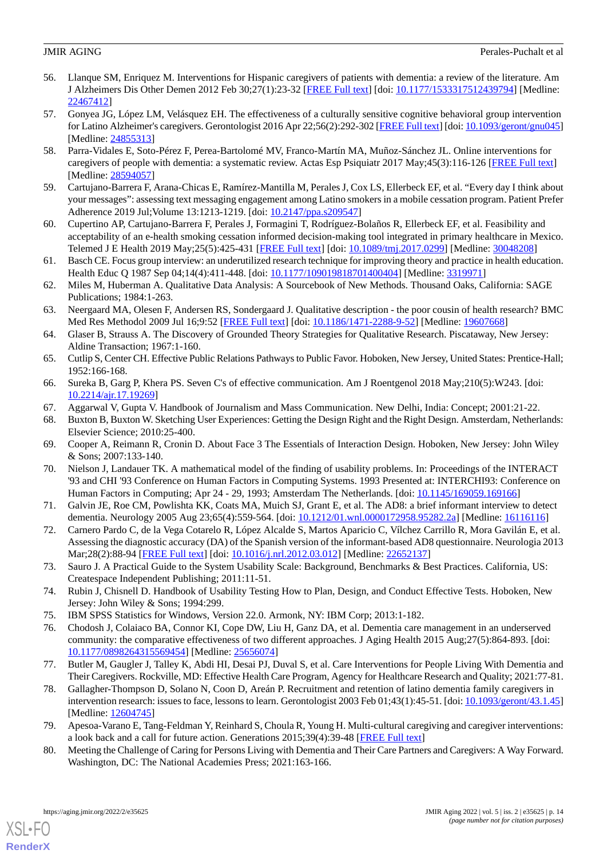- <span id="page-13-17"></span>56. Llanque SM, Enriquez M. Interventions for Hispanic caregivers of patients with dementia: a review of the literature. Am J Alzheimers Dis Other Demen 2012 Feb 30;27(1):23-32 [[FREE Full text](https://journals.sagepub.com/doi/10.1177/1533317512439794?url_ver=Z39.88-2003&rfr_id=ori:rid:crossref.org&rfr_dat=cr_pub%3dpubmed)] [doi: [10.1177/1533317512439794\]](http://dx.doi.org/10.1177/1533317512439794) [Medline: [22467412](http://www.ncbi.nlm.nih.gov/entrez/query.fcgi?cmd=Retrieve&db=PubMed&list_uids=22467412&dopt=Abstract)]
- <span id="page-13-18"></span>57. Gonyea JG, López LM, Velásquez EH. The effectiveness of a culturally sensitive cognitive behavioral group intervention for Latino Alzheimer's caregivers. Gerontologist 2016 Apr 22;56(2):292-302 [\[FREE Full text\]](http://europepmc.org/abstract/MED/24855313) [doi: [10.1093/geront/gnu045](http://dx.doi.org/10.1093/geront/gnu045)] [Medline: [24855313](http://www.ncbi.nlm.nih.gov/entrez/query.fcgi?cmd=Retrieve&db=PubMed&list_uids=24855313&dopt=Abstract)]
- <span id="page-13-1"></span><span id="page-13-0"></span>58. Parra-Vidales E, Soto-Pérez F, Perea-Bartolomé MV, Franco-Martín MA, Muñoz-Sánchez JL. Online interventions for caregivers of people with dementia: a systematic review. Actas Esp Psiquiatr 2017 May;45(3):116-126 [\[FREE Full text\]](https://www.actaspsiquiatria.es/repositorio//19/107/ENG/19-107-ENG-116-26-887591.pdf) [Medline: [28594057](http://www.ncbi.nlm.nih.gov/entrez/query.fcgi?cmd=Retrieve&db=PubMed&list_uids=28594057&dopt=Abstract)]
- <span id="page-13-2"></span>59. Cartujano-Barrera F, Arana-Chicas E, Ramírez-Mantilla M, Perales J, Cox LS, Ellerbeck EF, et al. "Every day I think about your messages": assessing text messaging engagement among Latino smokers in a mobile cessation program. Patient Prefer Adherence 2019 Jul; Volume 13:1213-1219. [doi:  $10.2147/ppa.s209547$ ]
- <span id="page-13-3"></span>60. Cupertino AP, Cartujano-Barrera F, Perales J, Formagini T, Rodríguez-Bolaños R, Ellerbeck EF, et al. Feasibility and acceptability of an e-health smoking cessation informed decision-making tool integrated in primary healthcare in Mexico. Telemed J E Health 2019 May;25(5):425-431 [[FREE Full text](http://europepmc.org/abstract/MED/30048208)] [doi: [10.1089/tmj.2017.0299\]](http://dx.doi.org/10.1089/tmj.2017.0299) [Medline: [30048208\]](http://www.ncbi.nlm.nih.gov/entrez/query.fcgi?cmd=Retrieve&db=PubMed&list_uids=30048208&dopt=Abstract)
- 61. Basch CE. Focus group interview: an underutilized research technique for improving theory and practice in health education. Health Educ Q 1987 Sep 04;14(4):411-448. [doi: [10.1177/109019818701400404\]](http://dx.doi.org/10.1177/109019818701400404) [Medline: [3319971](http://www.ncbi.nlm.nih.gov/entrez/query.fcgi?cmd=Retrieve&db=PubMed&list_uids=3319971&dopt=Abstract)]
- <span id="page-13-4"></span>62. Miles M, Huberman A. Qualitative Data Analysis: A Sourcebook of New Methods. Thousand Oaks, California: SAGE Publications; 1984:1-263.
- <span id="page-13-5"></span>63. Neergaard MA, Olesen F, Andersen RS, Sondergaard J. Qualitative description - the poor cousin of health research? BMC Med Res Methodol 2009 Jul 16;9:52 [\[FREE Full text\]](https://bmcmedresmethodol.biomedcentral.com/articles/10.1186/1471-2288-9-52) [doi: [10.1186/1471-2288-9-52](http://dx.doi.org/10.1186/1471-2288-9-52)] [Medline: [19607668\]](http://www.ncbi.nlm.nih.gov/entrez/query.fcgi?cmd=Retrieve&db=PubMed&list_uids=19607668&dopt=Abstract)
- <span id="page-13-7"></span><span id="page-13-6"></span>64. Glaser B, Strauss A. The Discovery of Grounded Theory Strategies for Qualitative Research. Piscataway, New Jersey: Aldine Transaction; 1967:1-160.
- <span id="page-13-8"></span>65. Cutlip S, Center CH. Effective Public Relations Pathways to Public Favor. Hoboken, New Jersey, United States: Prentice-Hall; 1952:166-168.
- <span id="page-13-9"></span>66. Sureka B, Garg P, Khera PS. Seven C's of effective communication. Am J Roentgenol 2018 May;210(5):W243. [doi: [10.2214/ajr.17.19269\]](http://dx.doi.org/10.2214/ajr.17.19269)
- <span id="page-13-10"></span>67. Aggarwal V, Gupta V. Handbook of Journalism and Mass Communication. New Delhi, India: Concept; 2001:21-22.
- <span id="page-13-11"></span>68. Buxton B, Buxton W. Sketching User Experiences: Getting the Design Right and the Right Design. Amsterdam, Netherlands: Elsevier Science; 2010:25-400.
- <span id="page-13-12"></span>69. Cooper A, Reimann R, Cronin D. About Face 3 The Essentials of Interaction Design. Hoboken, New Jersey: John Wiley & Sons; 2007:133-140.
- <span id="page-13-13"></span>70. Nielson J, Landauer TK. A mathematical model of the finding of usability problems. In: Proceedings of the INTERACT '93 and CHI '93 Conference on Human Factors in Computing Systems. 1993 Presented at: INTERCHI93: Conference on Human Factors in Computing; Apr 24 - 29, 1993; Amsterdam The Netherlands. [doi: [10.1145/169059.169166](http://dx.doi.org/10.1145/169059.169166)]
- <span id="page-13-14"></span>71. Galvin JE, Roe CM, Powlishta KK, Coats MA, Muich SJ, Grant E, et al. The AD8: a brief informant interview to detect dementia. Neurology 2005 Aug 23;65(4):559-564. [doi: [10.1212/01.wnl.0000172958.95282.2a](http://dx.doi.org/10.1212/01.wnl.0000172958.95282.2a)] [Medline: [16116116](http://www.ncbi.nlm.nih.gov/entrez/query.fcgi?cmd=Retrieve&db=PubMed&list_uids=16116116&dopt=Abstract)]
- <span id="page-13-15"></span>72. Carnero Pardo C, de la Vega Cotarelo R, López Alcalde S, Martos Aparicio C, Vílchez Carrillo R, Mora Gavilán E, et al. Assessing the diagnostic accuracy (DA) of the Spanish version of the informant-based AD8 questionnaire. Neurologia 2013 Mar;28(2):88-94 [[FREE Full text\]](http://www.elsevier.es/en/linksolver/ft/pii/S0213-4853(12)00082-5) [doi: [10.1016/j.nrl.2012.03.012](http://dx.doi.org/10.1016/j.nrl.2012.03.012)] [Medline: [22652137](http://www.ncbi.nlm.nih.gov/entrez/query.fcgi?cmd=Retrieve&db=PubMed&list_uids=22652137&dopt=Abstract)]
- <span id="page-13-19"></span><span id="page-13-16"></span>73. Sauro J. A Practical Guide to the System Usability Scale: Background, Benchmarks & Best Practices. California, US: Createspace Independent Publishing; 2011:11-51.
- <span id="page-13-20"></span>74. Rubin J, Chisnell D. Handbook of Usability Testing How to Plan, Design, and Conduct Effective Tests. Hoboken, New Jersey: John Wiley & Sons; 1994:299.
- <span id="page-13-21"></span>75. IBM SPSS Statistics for Windows, Version 22.0. Armonk, NY: IBM Corp; 2013:1-182.
- 76. Chodosh J, Colaiaco BA, Connor KI, Cope DW, Liu H, Ganz DA, et al. Dementia care management in an underserved community: the comparative effectiveness of two different approaches. J Aging Health 2015 Aug;27(5):864-893. [doi: [10.1177/0898264315569454\]](http://dx.doi.org/10.1177/0898264315569454) [Medline: [25656074\]](http://www.ncbi.nlm.nih.gov/entrez/query.fcgi?cmd=Retrieve&db=PubMed&list_uids=25656074&dopt=Abstract)
- <span id="page-13-23"></span><span id="page-13-22"></span>77. Butler M, Gaugler J, Talley K, Abdi HI, Desai PJ, Duval S, et al. Care Interventions for People Living With Dementia and Their Caregivers. Rockville, MD: Effective Health Care Program, Agency for Healthcare Research and Quality; 2021:77-81.
- 78. Gallagher-Thompson D, Solano N, Coon D, Areán P. Recruitment and retention of latino dementia family caregivers in intervention research: issues to face, lessons to learn. Gerontologist 2003 Feb 01;43(1):45-51. [doi: [10.1093/geront/43.1.45\]](http://dx.doi.org/10.1093/geront/43.1.45) [Medline: [12604745](http://www.ncbi.nlm.nih.gov/entrez/query.fcgi?cmd=Retrieve&db=PubMed&list_uids=12604745&dopt=Abstract)]
- 79. Apesoa-Varano E, Tang-Feldman Y, Reinhard S, Choula R, Young H. Multi-cultural caregiving and caregiver interventions: a look back and a call for future action. Generations 2015;39(4):39-48 [\[FREE Full text\]](https://www.proquest.com/docview/1764312946?fromopenview=true&pq-origsite=gscholar&parentSessionId=z0Uz9maV3vS68qCNNp88yUSuAjmTedpETpixp8M0Fdo%3D)
- 80. Meeting the Challenge of Caring for Persons Living with Dementia and Their Care Partners and Caregivers: A Way Forward. Washington, DC: The National Academies Press; 2021:163-166.